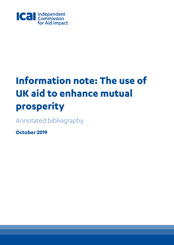

# **Information note: The use of UK aid to enhance mutual prosperity**

Annotated bibliography

**October 2019**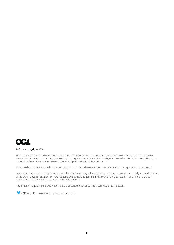

#### © Crown copyright 2019

This publication is licensed under the terms of the Open Government Licence v3.0 except where otherwise stated. To view this licence, visit www.nationalarchives.gov.uk/doc/open-government-licence/version/3, or write to the Information Policy Team, The National Archives, Kew, London TW9 4DU, or email: psi@nationalarchives.gsi.gov.uk.

Where we have identified any third party copyright you will need to obtain permission from the copyright holders concerned.

Readers are encouraged to reproduce material from ICAI reports, as long as they are not being sold commercially, under the terms of the Open Government Licence. ICAI requests due acknowledgement and a copy of the publication. For online use, we ask readers to link to the original resource on the ICAI website.

Any enquiries regarding this publication should be sent to us a[t enquiries@icai.independent.gov.uk.](mailto:enquiries@icai.independent.gov.uk)

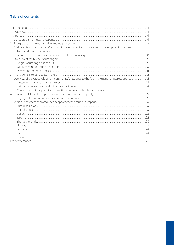# Table of contents

| Brief overview of 'aid for trade', economic development and private sector development initiatives5  |  |
|------------------------------------------------------------------------------------------------------|--|
|                                                                                                      |  |
|                                                                                                      |  |
|                                                                                                      |  |
|                                                                                                      |  |
|                                                                                                      |  |
|                                                                                                      |  |
|                                                                                                      |  |
| Overview of the UK development community's response to the 'aid in the national interest' approach12 |  |
|                                                                                                      |  |
|                                                                                                      |  |
|                                                                                                      |  |
|                                                                                                      |  |
|                                                                                                      |  |
|                                                                                                      |  |
|                                                                                                      |  |
|                                                                                                      |  |
|                                                                                                      |  |
|                                                                                                      |  |
|                                                                                                      |  |
|                                                                                                      |  |
|                                                                                                      |  |
|                                                                                                      |  |
|                                                                                                      |  |
|                                                                                                      |  |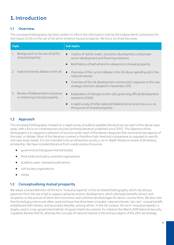# <span id="page-3-0"></span>**1.**Introduction

# <span id="page-3-1"></span>1.1 Overview

This annotated bibliography has been written to inform the information note by the Independent Commission for Aid Impact (ICAI) on the use of UK aid to enhance mutual prosperity. We focus on three key areas:

| <b>Topic</b>  |                                                                       | <b>Sub-topics</b>                                                                                                                                                                                                      |  |
|---------------|-----------------------------------------------------------------------|------------------------------------------------------------------------------------------------------------------------------------------------------------------------------------------------------------------------|--|
|               | Background on the use of aid for<br>mutual prosperity                 | Outline of 'aid for trade', economic development, and private<br>sector development and financing initiatives<br>Brief history of tied aid and its relevance to mutual prosperity<br>$\bullet$                         |  |
| $\mathcal{D}$ | National interest debate in the UK                                    | Overview of the current debate in the UK about spending aid in the<br>$\bullet$<br>national interest<br>Overview of the UK development community's response to the new<br>strategic direction adopted in November 2015 |  |
| $\mathcal{E}$ | Review of bilateral donor practices<br>in enhancing mutual prosperity | Explanation of changes to the rules governing official development<br>assistance (ODA)<br>A rapid survey of other selected bilateral donor practices vis-à-vis<br>the pursuit of mutual prosperity                     |  |

# <span id="page-3-2"></span>1.2 Approach

This annotated bibliography is based on a rapid survey of publicly available literature across each of the above topic areas, with a focus on contemporary sources (primarily literature published since 2010). The objective of this bibliography is to signpost a selection of sources under each of the above categories that summarise key aspects of the topic or debate. Most of the literature covered is therefore high-level and comparative as opposed to specific and case study-based. It is not intended to be an exhaustive survey or an in-depth literature review of all existing scholarship. We have included literature from a wide variety of sources:

- government/intergovernmental bodies
- think tanks and policy-oriented organisations
- academic peer-reviewed publications
- civil society organisations
- media.

# <span id="page-3-3"></span>1.3 Conceptualising mutual prosperity

We adopt a broad definition of the term 'mutual prosperity' in this annotated bibliography, which sits along a spectrum from the use of aid to support global economic development, which ultimately benefits donors and recipients, to the pursuit of short-term economic and commercial advantages for donor country firms. We also note that homologous terms are often used and have therefore been included: national interest, 'win-win', mutual benefit, enlightened self-interest, and secondary benefits, among others. In the UK context, the term 'mutual prosperity' is largely used in cross-government/whole-of-government documents, for instance the March 2018 National Security Capability Review (NSCR), whereas the concept of national interest is the primary subject of the 2015 aid strategy,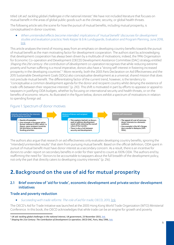titled UK aid: tackling global challenges in the national interest.<sup>[1](#page-4-3)</sup> We have not included literature that focuses on mutual benefit in the areas of global public goods such as the climate, security, or global health threats.

The following article sets the scene for how the pursuit of mutual benefits, including mutual prosperity, is conceptualised in donor countries.

• When unintended effects become intended: implications of 'mutual benefit' discourses for development studies and evaluation practice, Niels Keijzer & Erik Lundsgaarde, Evaluation and Program Planning, June 2018, [link.](http://pure.diis.dk/ws/files/851008/keijzer_lundsgaarde_2017_7.pdf)

This article analyses the trend of moving away from an emphasis on developing country benefits towards the pursuit of mutual benefit as the main motivating factor for development cooperation. The authors start by acknowledging that development cooperation has always been driven by a multitude of motivations; indeed, the 1996 Organisation for Economic Co-operation and Development (OECD) Development Assistance Committee (DAC) strategy entitled Shaping the 21st century: the contribution of development co-operation recognises that while reducing extreme poverty and human suffering is a moral imperative, donors also have a "strong self-interest in fostering increased prosperity in the developing countries".<sup>[2](#page-4-4)</sup> More recently, both the 2005 Paris Declaration on Aid Effectiveness and the 2015 Sustainable Development Goals (SDGs) also conceptualise development as a universal, shared mission that does not preclude mutual benefit. The differentiating factor of the current trend, however, is the tendency to "conceptualise a common development agenda for the donor and recipient country whilst denying the existence of trade-offs between their respective interests" (p. 210). This shift is motivated in part by efforts to appease or appeal to taxpayers in justifying ODA budgets, whether by focusing on international security and health threats, or on the benefits of economic returns. As illustrated in the figure below, donors exhibit a spectrum of motivations in relation to spending foreign aid.

# Figure 1: Spectrum of donor motives



The authors also argue that research on aid effectiveness only evaluates developing country benefits, ignoring the "intended/unintended results" that stem from pursuing mutual benefit. Based on the official definition, ODA spent in pursuit of mutual benefit must have donor interest as a secondary concern. As a result, there is an incentive for donors to under-report on secondary benefits in order for their spend to count as 100% ODA. The authors end by reaffirming the need for "donors to be accountable to taxpayers about the full breadth of the development policy, not only the part that directly caters to developing country interests" (p. 216).

# <span id="page-4-0"></span>**2.**Background on the use of aid for mutual prosperity

## <span id="page-4-1"></span>2.1 Brief overview of 'aid for trade', economic development and private sector development initiatives

#### <span id="page-4-2"></span>Trade and poverty reduction

• Succeeding with trade reforms: The role of aid for trade, OECD, 2013, [link.](http://www.oecd.org/dac/aft/succeeding-with-trade-reforms-9789264201200-en.htm)

The OECD's Aid for Trade Initiative was launched at the 2005 Hong Kong World Trade Organization (WTO) Ministerial Conference. In this book, the OECD acknowledges that while trade can be an engine for growth and poverty

<span id="page-4-3"></span><sup>1</sup> *UK aid: tackling global challenges in the national interest,* UK government, 23 November 2015[, link.](https://assets.publishing.service.gov.uk/government/uploads/system/uploads/attachment_data/file/478834/ODA_strategy_final_web_0905.pdf)

<span id="page-4-4"></span><sup>&</sup>lt;sup>2</sup> Shaping the 21st Century: The Contribution of Development Co-operation, OECD DAC, Paris, May 1996, [link.](https://www.oecd.org/dac/2508761.pdf)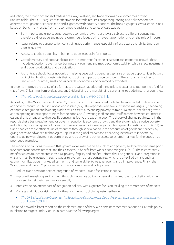reduction, the growth potential of trade is not always realised, and trade reforms have sometimes proved unsustainable. The OECD argues that effective aid for trade requires proper sequencing and policy coherence, achieved through donor coordination and alignment with country priorities. The book highlights several conclusions based on benchmark results from an econometric analysis and series of case studies:

- Both imports and exports contribute to economic growth, but they are subject to different constraints, therefore aid for trade and trade reform should focus both on export promotion and on the role of imports.
- Issues related to transportation constrain trade performance, especially infrastructure availability (more so than its quality).
- Access to credit is a significant barrier to trade, especially for imports.
- Complementary and compatible policies are important for trade expansion and economic growth; these include education, governance, business environment and macroeconomic stability, which affect investment and labour productivity and participation.
- Aid for trade should focus not only on helping developing countries capitalise on trade opportunities but also on tackling binding constraints that obstruct the impact of trade on growth. These constraints differ for landlocked countries, small and vulnerable economies, and commodity exporters.

In order to improve the quality of aid for trade, the OECD has adopted three pillars: 1) expanding monitoring of aid for trade flows, 2) learning from evaluations, and 3) identifying the most binding constraints to trade in partner countries.

The role of trade in ending poverty, World Bank and WTO, 2015, [link.](http://documents.worldbank.org/curated/en/726971467989468997/pdf/97607-REPLACEMENT-The-Role-of-Trade-in-Ending-Poverty.pdf)

According to the World Bank and the WTO, "the expansion of international trade has been essential to development and poverty reduction", but it is not an end in itself (p.7). The report delivers two substantive messages: 1) deepening economic integration and lowering trade costs is essential to ending poverty, as trade is a critical enabler of growth, and to opening up new opportunities for the poor, and 2) lowering tariff and non-tariff barriers between countries is essential, as is attention to the specific constraints facing the extreme poor. The theory of change put forward in the report is that a basic requirement for poverty reduction is economic growth, and therefore trade can drive poverty reduction by boosting growth. It does this in several ways: by increasing a country's gross domestic product (GDP), as trade enables a more efficient use of resources through specialisation in the production of goods and services; by giving access to advanced technological inputs in the global market and enhancing incentives to innovate; by opening up new employment opportunities; and by providing better access to external markets for the goods that poor people produce.

The report also cautions, however, that growth alone may not be enough to end poverty and that the "extreme poor face numerous constraints that limit their capacity to benefit from wider economic gains" (p. 8). These constraints manifest across four characteristics: rural poverty, fragility and conflict, informality, and gender. Trade integration is vital and must be executed in such a way as to overcome these constraints, which are amplified by risks such as economic shifts, labour market adjustments, and vulnerability to weather events and climate change. Finally, the World Bank and the WTO propose recommendations in several policy areas:

- 1. Reduce trade costs for deeper integration of markets trade facilitation is critical.
- 2. Improve the enabling environment through innovative policy frameworks that improve consultation with the poor and target their needs more carefully.
- 3. Intensify the poverty impact of integration policies, with a greater focus on tackling the remoteness of markets.
- 4. Manage and mitigate risks faced by the poor through building greater resilience.
	- The UK's global contribution to the Sustainable Development Goals. Progress, gaps and recommendations, Bond, June 2019, [link.](https://www.bond.org.uk/sites/default/files/bond_the_uks_global_contribution_to_the_sdgs_online_full_report.pdf)

The Bond network's latest report on the implementation of the SDGs contains recommendations on UK trade policy in relation to targets under Goal 17, in particular the following targets: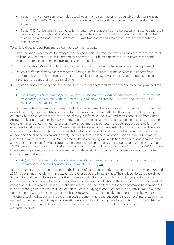- Target 17.10: Promote a universal, rules-based, open, non-discriminatory and equitable multilateral trading system under the WTO, including through the conclusion of negotiations under its Doha Development Agenda.
- Target 17.12: Realise timely implementation of duty-free and quota-free market access on a lasting basis for all least developed countries (LDCs), consistent with WTO decisions, including by ensuring that preferential rules of origin applicable to imports from LDCs are transparent and simple, and contribute to facilitating market access.

To achieve these targets, Bond makes four key recommendations:

- 1. Develop proper mechanisms for transparency in, and scrutiny of, trade negotiations and agreements. Ensure UK trade policy is coherent with its commitments under the SDGs, human rights, tackling climate change and ensuring there are no other negative impacts on the global south.
- 2. Exclude Investor to State Dispute Settlement mechanisms from all future trade and investment agreements.
- 3. Design a preferential market access scheme offering duty-free, quota-free market access to imports from economically vulnerable countries, including but not limited to LDCs. Make regional trade cooperation and integration the central aim of such a scheme.
- 4. Use its position as an independent member to push for a fundamental rethink of the purpose and powers of the WTO.
	- Does foreign aid promote recipient exports to donor countries? Commercial interests versus instrumental philanthropy, Inmaculada Martínez-Zarzoso, Felicitas Nowak-Lehmann, M.D. Parra and Stephan Klasen, KYKLOS, Vol. 67, No. 4, November 2014, [link.](https://onlinelibrary.wiley.com/doi/10.1111/kykl.12068)

This academic article reviews evidence on the effects of development aid on donor exports to developing countries. Overall, the study finds that bilateral aid provided by donors has positively affected their exports to developing countries, but this varies over time (the period of analysis is from 1998 to 2007) and across donors. Aid from Austria, Australia, Italy, Japan, Sweden, the US, Germany, Canada and Spain has been highly export-enhancing, whereas the export-enhancing effects for France, the UK, Norway, Denmark and Portugal have been positive but smaller. No effect was found for Belgium, Finland, Greece, Ireland, the Netherlands, New Zealand or Switzerland. The differences across donors are largely explained by the level of tied aid and the sectoral allocation of aid. Across all donors, the authors find a smaller (and even insignificant) effect of bilateral aid increasing donor exports from 2000 onwards – potentially as a result of the OECD DAC recommendation on untying aid. In addition, the effect of an increase in the amount of donor exports flowing from aid is more moderate than previous studies found, corresponding to a roughly \$0.50 increase in exports for every aid dollar in the short term, and \$1.80 in the long term. Since the late 1990s, donors have increasingly signed regional trade agreements with developing countries as an alternative way to promote donor commercial interests.

Aid, Aid for trade, and bilateral trade: an empirical study, Jan Pettersson and Lars Johansson, The Journal of International Trade and Economic Development, Sept 2011, [link.](https://doi.org/10.1080/09638199.2011.613998)

In this academic article, the authors present the findings of an empirical study across 184 countries between 1990 and 2005 that examines the relationship between aid, aid for trade and bilateral trade. The study put forward several key findings. First, bilateral aid is not only positively correlated with donor exports, but also with recipient exports to donors. Second, an intensified aid relationship was associated with a reduction in the effective cost of distance, which implied larger bilateral trade. Plausible mechanisms for this include "preferences for donor commodities through aid in kind or through aid-financed recipient country students studying in donor countries" and "familiarization with the donor country", which enhances export capabilities (p. 887). Third, a particularly strong relationship between aid in the form of technical assistance and exports in both directions was found, supporting the authors' interpretation that market knowledge through interpersonal relations was a significant driving force for exports. Fourth, the "aid-trade link is particularly strong for donor exports to Sub-Saharan African countries and for recipient exports of strategic materials" (p. 866).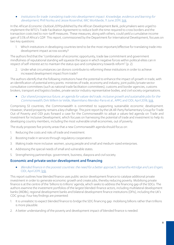• Institutions for trade: translating trade into development impact. Knowledge, evidence and learning for development, Phill Norley and Jessie Rosenthal, IMC Worldwide, 11 June 2019, [link.](https://assets.publishing.service.gov.uk/media/5d30a2db40f0b64a8626b7c2/524_Supporting_Trade_for_Institutions.pdf)

In the *African Economic Outlook 2019* published by the African Development Bank, policymakers were urged to implement the WTO's Trade Facilitation Agreement to reduce both the time required to cross borders and the transaction costs tied to non-tariff measures. These measures, along with others, could yield a cumulative income gain of 3.5% of Africa's GDP. This report, commissioned by the Department for International Development, focuses on two key questions:

1. Which institutions in developing countries tend to be the most important/effective for translating trade into development impact across society?

The authors find that the "combination of economic opportunity, trade law commitment and government mindfulness of reputational standing will squeeze the space in which negative forces within political elites can in respect of self-interest act to maintain the status quo and complacency towards reform" (p. 2).

2. Under what circumstances can donors contribute to reforming these institutions in order to achieve increased development impact from trade?

The authors identify that the following institutions have the potential to enhance the impact of growth in trade, with an identification of potential entry points: ministries of trade, economy and industry, joint public/private sector consultative committees (such as national trade facilitation committees), customs and border agencies, customs brokers, transport and logistics bodies, private sector industry representative bodies, and civil society organisations.

• Our shared prosperous future, an agenda for values-led trade, inclusive growth and sustainable jobs for the Commonwealth, Dirk Willem te Velde, Maximiliano Mendez-Parra et al., APPG and ODI, April 2018, [link.](https://www.odi.org/publications/11086-our-shared-prosperous-future-agenda-values-led-trade-inclusive-growth-and-sustainable-jobs)

Comprising 53 countries, the Commonwealth is committed to supporting sustainable economic development. However, shared prosperity remains a key challenge. This joint report by the UK All-Party Parliamentary Group for Trade Out of Poverty and ODI puts forward a case for the Commonwealth to adopt a values-led agenda on Trade and Investment for Inclusive Development, which focuses on harnessing the potential of trade and investment to help its developing country members, including the most vulnerable small economies, out of poverty.

The study proposes five priority areas that a new Commonwealth agenda should focus on:

- 1. Reducing the costs and risks of trade and investment.
- 2. Boosting trade in services through regulatory cooperation.
- 3. Making trade more inclusive: women, young people and small and medium-sized enterprises.
- 4. Addressing the special needs of small and vulnerable states.
- 5. Strengthening partnerships: government, business, diaspora and civil society.

#### <span id="page-7-0"></span>Economic and private sector development and financing

• Blended finance in the poorest countries: the need for a better approach, Samantha Attridge and Lars Engen, ODI, April 2019, [link.](https://www.odi.org/publications/11303-blended-finance-poorest-countries-need-better-approach)

This report outlines how blended finance uses public sector development finance to catalyse additional private investment in order to generate economic growth and create jobs, thereby reducing poverty. Mobilising private finance is at the centre of the 'billions to trillions' agenda, which seeks to address the financing gap of the SDGs. The authors examine the investment portfolios of the largest blended-finance actors, including multilateral development banks (MDBs), regional development banks and bilateral development finance institutions (DFIs), including the UK's CDC group. Four key findings are presented:

- 1. It is unrealistic to expect blended finance to bridge the SDG financing gap: mobilising billions rather than trillions is more plausible.
- 2. A better understanding of the poverty and development impact of blended finance is needed.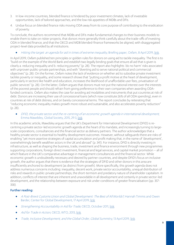- 3. In low-income countries, blended finance is hindered by poor investment climates, lack of investable opportunities, lack of tailored approaches, and the low risk appetites of MDBs and DFIs.
- 4. Undue focus on blended finance risks moving ODA away from its core purpose of contributing to the eradication of poverty.

To conclude, the authors recommend that MDBs and DFIs make fundamental changes to their business models to enable them to take on riskier projects, that donors more generally think carefully about the trade-offs of investing ODA in blended finance, and that the OECD and MDB blended-finance frameworks be aligned, with disaggregated project-level data provided by all institutions.

#### • Hitting the target: an agenda for aid in times of extreme inequality, Briefing paper, Oxfam, 8 April 2019[, link.](https://oxfamilibrary.openrepository.com/bitstream/handle/10546/620721/bp-hitting-the-target-aid-inequality-agenda-080419-en.pdf;jsessionid=5411E3198DAF137DACE8023E8D3F8E5C?sequence=1)

In April 2019, Oxfam published ten principles or golden rules for donors on using aid to tackle inequality. The first is to "build on the example of the World Bank and establish two legally binding goals that ensure all aid that is given is clearly a. reducing inequality and b. reducing poverty" (p. 28). The report also highlights 'do no harm' risks associated with unproven public-private partnerships, and with "diverting aid to serve national political and commercial objectives" (p. 28). On the former, Oxfam notes the lack of evidence on whether aid to subsidise private investment tackles poverty or inequality, and some research shows that "putting a profit motive at the heart of development, particularly in sectors like health and education, increases the likelihood of unaffordable user fees, privatisation of public services" (p. 28). On the latter, Oxfam argues that donors must not put the national interest over the interests of the poorest people and should refrain from giving preference to their own companies when awarding ODAfunded contracts. Oxfam also makes the case for avoiding aid modalities and instruments that put countries at risk of debt. Donors are increasing their use of concessional loans (which now constitute 26% of all ODA spending), even in countries at risk of debt distress, and on barely concessional terms. The report concludes by reiterating that "reducing economic inequality makes growth more robust and sustainable, and also accelerates poverty reduction" (p. 28).

• DFID, the private sector and the re-centring of an economic growth agenda in international development, Emma Mawdsley, Global Society, 2015, 29:3, [link.](https://www.tandfonline.com/doi/full/10.1080/13600826.2015.1031092)

In this academic article, Mawdsley argues that the UK's Department for International Development (DFID) is recentring a private sector-led economic growth agenda at the heart of its mandate, and increasingly turning to largescale corporations, consultancies and the financial sector as delivery partners. The author acknowledges that a healthy private sector is essential to healthy development outcomes. However, without safeguards there are risks of enabling "yet more assertive strategies of capital accumulation and profit making that, in the name of 'development', overwhelmingly benefit wealthier actors in the UK and abroad" (p. 341). For instance, DFID is directly investing in infrastructure, as well as shaping the business, trade, investment and finance environment through new programmes supporting corporations, foreign direct investment, financial and legal services, and capital market promotion – all of which feature in the UK's comparative advantage in management consultancies and the financial sector. While economic growth is undoubtedly necessary and desired by partner countries, and despite DFID's focus on inclusive growth, the author argues that there is evidence that the strategies of DFID and other donors in this area are insufficiently anchored to development (as distinct from growth). More specifically, this growth agenda does not address numerous concerns including: inequality, decent work, private sector accountability, unequal distribution of risks and rewards in public-private partnerships, the short-termism and predatory nature of shareholder capitalism. In addition, conflicts of interest that are inherent and unavoidable in all development and certainly in private sector-led development, and the relationship between exposure and risk under conditions of greater financialisation (pp. 357- 358).

#### Further reading:

- A Post-Brexit Customs Union and Global Development: The Best of All Worlds? Hannah Timmis and Owen Barder, Center for Global Development, 17 April 2019, [link.](https://www.cgdev.org/blog/post-brexit-customs-union-and-global-development-best-all-worlds)
- Strengthening Accountability in Aid for Trade, OECD, October 2011[, link.](https://www.oecd.org/dac/aft/strengthening-accountability-in-aid-for-trade-9789264123212-en.htm)
- Aid for Trade in Action, OECD, WTO, 2013[, link.](https://www.oecd-ilibrary.org/docserver/9789264201453-en.pdf?expires=1559209556&id=id&accname=guest&checksum=56E391A2243269DC9C5BF75F3AE8CB01#_ga=2.202826708.458263526.1559208648-2114791682.1546774064)
- Trade, Inclusive Development, and the Global Order, Global Summitry, 13 April 2019[, link.](https://academic.oup.com/globalsummitry/advance-article/doi/10.1093/global/guz001/5453526)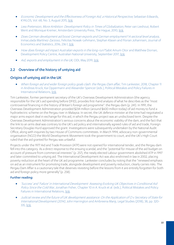- Economic Development and the Effectiveness of Foreign Aid, a Historical Perspective, Sebastian Edwards, KYKLOS, Vol. 68, No. 3, August 2015[, link.](https://onlinelibrary-wiley-com.ezproxy.sussex.ac.uk/doi/full/10.1111/kykl.12084)
- Less Pretension, More Ambition: Development Policy in Times of Globalization, Peter van Lieshout, Robert Went and Monique Kremer, Amsterdam University Press, The Hague, 2010[, link.](https://books.google.co.uk/books?hl=en&lr=&id=ZQcVO1AZ1HMC&oi=fnd&pg=PA3&ots=jXiWcVMTEC&sig=HedfdqXX9-8cNpPfX0dKRHbu0W8&redir_esc=y#v=onepage&q&f=false)
- Does German development aid boost German exports and German employment? A sectoral level analysis, Inmaculada Martínez-Zarzoso, Felicitas Nowak-Lehmann, Stephan Klasen and Florian Johannsen, Journal of Economics and Statistics, 2016, 236:1[, link.](https://www.degruyter.com/view/j/jbnst.2016.236.issue-1/jbnst-2015-1003/jbnst-2015-1003.xml)
- How does foreign aid impact Australian exports in the long-run? Sabit Amum Otor and Matthew Dornan, Development Policy Centre, Australian National University, September 2017[, link.](https://devpolicy.org/publications/discussion_papers/DP62_How-does-foreign-aid-impact-Australian-exports.pdf)
- Aid, exports and employment in the UK, ODI, May 2019[, link.](https://www.odi.org/sites/odi.org.uk/files/resource-documents/11521.pdf)

#### <span id="page-9-0"></span>2.2 Overview of the history of untying aid

#### <span id="page-9-1"></span>Origins of untying aid in the UK

• When foreign aid and wider foreign policy goals clash: the Pergau Dam affair, Tim Lankester, 2018, Chapter 11 in Andreas Kruck, Kai Oppermann and Alexander Spencer (eds.), Political Mistakes and Policy Failures in International Relations, [link.](https://doi.org/10.1007/978-3-319-68173-3_11)

Tim Lankester, former permanent secretary of the UK's Overseas Development Administration (the agency responsible for the UK's aid spending before DFID), provides first-hand analysis of what he describes as the "most controversial financing in the history of Britain's foreign aid programme": the Pergau dam (p. 241). In 1991, the Overseas Development Administration provided \$234 million (around \$600 million today) of aid money to fund a hydroelectric scheme on the Pergau river in Malaysia. In secret, the UK defence minister at the time had negotiated a major arms export deal in exchange for this aid, in which the Pergau project was an undisclosed term. Despite the Overseas Development Administration's serious concerns about the economic viability of the dam, and the fact that the link to an arms deal was contrary to the UK's aid policy and internationally agreed rules of aid and trade, Foreign Secretary Douglas Hurd approved the grant. Investigations were subsequently undertaken by the National Audit Office, along with inquiries by two House of Commons committees. In March 1994, advocacy non-governmental organisation (NGO) the World Development Movement took the government to court, and the UK's High Court ruled that the aid granted for Pergau was unlawful.

Projects under the 1977 Aid and Trade Provision (ATP) were not opened for international tender, and the Pergau dam fell into this category. As a direct response to the ensuing scandal, and the "potential for misuse of the aid budget on account of pressure from commercial interests" (p. 257), the newly elected Labour government abolished ATP in 1997 and later committed to untying aid. The International Development Act was also enshrined in law in 2002, placing poverty reduction at the heart of the UK aid programme. Lankester concludes by noting that the "renewed emphasis on aid as an instrument for promoting trade, alongside development and poverty reduction, clearly carries risks. The Pergau Dam Affair is a cautionary tale that deserves revisiting before the lessons from it are entirely forgotten for both aid and foreign policy more generally"(p. 258).

#### Further reading:

- 'Success' and 'Failure' in International Development: Assessing Evolving UK Objectives in Conditional Aid Policy Since the Cold War, Jonathan Fisher, Chapter 10 in A. Kruck et al. (eds.), Political Mistakes and Policy Failures in International Relations[, link.](https://www.palgrave.com/gp/book/9783319681726)
- Judicial review and the future of UK development assistance: On the Application of O v Secretary of State for International Development (2014), John Harrington and Ambreena Manji, Legal Studies (2018), 38, pp.320- 335, [link.](https://www.cambridge.org/core/journals/legal-studies/article/judicial-review-and-the-future-of-uk-development-assistance-on-the-application-of-o-v-secretary-of-state-for-international-development-2014/742B00FD8E74201CA13D966EFCB3611C)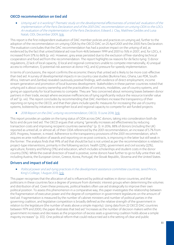#### <span id="page-10-0"></span>OECD recommendation on tied aid

• Untying aid: is it working? Thematic study on the developmental effectiveness of untied aid: evaluation of the implementation of the Paris Declaration and of the 2001 DAC recommendation on untying ODA to the LDCs. An evaluation of the implementation of the Paris Declaration, Edward J. Clay, Matthew Geddes and Luisa Natali, ODI, December 2009, [link.](https://www.odi.org/sites/odi.org.uk/files/odi-assets/publications-opinion-files/6865.pdf)

This report is the first independent evaluation of DAC member policies and practices on untying aid, further to the adoption of the recommendation on untying ODA by the OECD DAC on 25 April 2001 and the 2005 Paris Declaration. The evaluation concludes that the DAC recommendation has had a positive impact on the untying of aid, as evidenced by the fact that untied bilateral aid rose from 46% between 1999 and 2001 to 76% in 2007, and, for LDCs, it increased from 57% to 86% (p.viii). However, grey areas persisted due to the exclusion of free-standing technical cooperation and food aid from the recommendation. The report highlights six reasons for de facto tying: 1) donor regulations, 2) lack of local capacity, 3) local and regional contractors unable to compete internationally, 4) unequal access to information, 5) potential risk aversion at donor HQ, and 6) pressure for speedy implementation.

In terms of conclusions, the report confirms the economic theory that untied aid is likely to be more cost-effective than tied aid. A survey of developmental impacts in six country case studies (Burkina Faso, Ghana, Lao PDR, South Africa, Vietnam and Zambia) revealed cautiously positive findings, with evidence of direct employment, income stream generation and promotion of local business development. Stakeholders in these partner countries noted that untying aid is about country ownership and the practicalities of contracts, modalities, use of country systems, and giving an opportunity for local business to compete. They are "less concerned about removing biases between donor partners in their trade, except where excessive inefficiencies of tying significantly reduce the resource transfer value of aid" (p.viii). The report concludes by recommending that DAC members increase the transparency of their reporting on tying to the OECD, and that their plans include specific measures for increasing the use of country systems, bolstered by initiatives to strengthen local and regional capacity to compete for aid-funded projects.

#### • 2018 Report on the DAC untying recommendation, OECD, 13 June 2018, [link.](http://www.oecd.org/officialdocuments/publicdisplaydocumentpdf/?cote=DCD/DAC(2018)12/REV2&docLanguage=En)

This report provides an update on the tying status of ODA across DAC donors, taking into consideration both de facto and de jure tied aid. The OECD argues that untying "generally increases aid effectiveness by reducing transaction costs and improving recipient countries ownership" (p. 3). In 2016, 88% of donors (including the UK) reported as untied all, or almost all, of their ODA referenced by the 2001 recommendation, an increase of 5.7% from 2015. Progress, however, is mixed. Adherence to the transparency provisions of the 2001 recommendation, which requires ex ante notification of awards and reporting on ex post contracts, is improving in the latter but still weak in the former. The analysis finds that 99% of aid that should be but is not untied as per the recommendation is related to project-type interventions, primarily in the following sectors: health (22%), government and civil society (22%), agriculture, forestry and fishing (11%) and education, which includes scholarships and student costs in the donor country (10%). While the overall direction of travel is positive, some donors have further to go to fully untie their aid, including Austria, the European Union, Greece, Korea, Portugal, the Slovak Republic, Slovenia and the United States.

#### <span id="page-10-1"></span>Drivers and impact of tied aid

#### • Political power and aid-tying practices in the development assistance committee countries, Jared Pincin, King's College, 1 August 2013, [link.](https://mpra.ub.uni-muenchen.de/49806/)

This paper recognises that the allocation of aid is influenced by political realities in donor countries, and that politicians in these countries face a degree of pressure from domestic interest groups when determining the volumes and distribution of aid. Given these pressures, political leaders often use aid strategically to improve their own political position. To assess this phenomenon in a comparative way, this paper investigates the relationship between the fragmentation of executive power and the degree of competition in government legislatures on the amount of tied aid. Fragmentation is measured by the number of cabinet ministers and number of political parties in the governing coalition, and legislative competition is broadly defined as the relative strength of the government in relation to the legislature (the number of seats above a simple majority). Using data from 22 OECD DAC countries between 1979 and 2000, the paper illustrates that tied aid "increases as the number of decision makers within the government increases and decreases as the proportion of excess seats a governing coalition holds above a simple majority increases" (p. 372). One political reform that could reduce tied aid is the setting of clear and public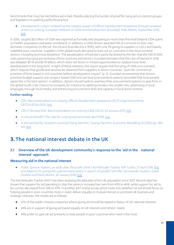benchmarks that must be met before aid is tied, thereby placing the burden of proof for tying aid on interest groups and legislators to publicly justify the practice.

• Development, untied: Unleashing the catalytic power of Official Development Assistance through renewed action on untying, European Network on Debt and Development (Eurodad), Polly Meeks, September 2018, [link.](https://eurodad.org/files/pdf/5ba3a41be1899.pdf)

In 2016, roughly \$25 billion of ODA was reported as formally tied (equating to more than the total bilateral ODA spent on health, population and water combined). In addition, in 2016 donors awarded 51% of contracts to their own domestic companies (in the UK, the US and Australia this is 90%), with only 7% going to suppliers in LDCs and heavily indebted poor countries. Suppliers in the global south also tend to lose out on contracts in the most lucrative sectors, including technical assistance. The perpetuation of tied aid is partly facilitated by the fact that the OECD DAC rules governing tying are exclusive of key countries and sectors. Eurodad estimates that the cost of tied aid in 2016 was between \$1.95 and \$5.43 billion, which does not factor in missed opportunities to catalyse local-level development in the long term. In light of these statistics, this report argues that the tying of ODA procurement, which requires that goods and services be obtained from suppliers in donor countries, "puts the commercial priorities of firms based in rich countries before development impact" (p. 3). Eurodad recommends that donors prioritise budget support over project-based ODA and use local procurement systems (provided that local people agree this is the best option). In addition, donors should seek to overhaul their procurement systems to give firms in the global south a fair chance to compete, for instance by splitting tenders into smaller lots, advertising in local languages through local media, and enhancing procurement skills and capacity in local donor entities.

#### Further reading:

- DAC Recommendation on Untying Official Development Assistance, OECD Legal Instruments, OECD/LEGAL/5015[, link.](https://legalinstruments.oecd.org/public/doc/140/140.en.pdf)
- OECD Revised DAC Recommendation on Untying ODA, OECD, 24 January 2019, [link.](https://one.oecd.org/document/DCD/DAC(2018)33/FINAL/en/pdf)
- In whose benefit? The case for untying aid, ActionAid, April 1998[, link.](https://www.actionaid.org.uk/sites/default/files/doc_lib/66_1_whose_benefit.pdf)
- Is tied aid bad for recipient countries? Sang-Kee Kim, Young-Han Kim, Economic Modelling 53 (2016) pp. 289- 301, [link.](https://linkinghub.elsevier.com/retrieve/pii/S0264999315003934)

# <span id="page-11-0"></span>**3.**The national interest debate in the UK

## <span id="page-11-1"></span>3.1 Overview of the UK development community's response to the 'aid in the national interest' approach

#### <span id="page-11-2"></span>Measuring aid in the national interest

• Public opinion matters, so what does the public think? Aid Attitudes Tracker, Will Tucker, 27 April 2018[, link;](https://devcommslab.org/blog/public-opinion-matters-so-what-does-the-public-think/) and Reasons for giving aid: a government policy in search of a public? Jennifer van Heerde-Hudson, David Hudson and Paolo Morini, 30 January 2018, [link.](https://devcommslab.org/blog/reasons-for-giving-aid-a-government-policy-in-search-of-a-public/)

The Aid Attitudes Tracker (AAT) has been studying the attitudes of the UK population since 2013. Recent data has shown that support for aid spending to stay the same or increase has risen from 43% to 46%, while support for aid to be cut has decreased from 53% to 47%. In another AAT online survey which looks into whether UK aid should focus on helping people in poor countries most in need, deliver equally on mutual interest or promote UK business and strategic interests, the results are as follows:

- 10% of the public choose a response where giving aid should be tipped in favour of UK national interests
- 24% are in support of giving aid based equally on UK interests and others' needs
- 34% prefer to give UK aid primarily to help people in poor countries who need it the most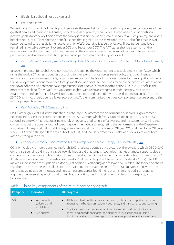- 15% think aid should not be given at all
- 15% 'don't know'.

While it is clear that a third of the UK public supports the use of aid to focus mostly on poverty reduction, one of the greatest perceived threats to aid quality is that the goal of poverty reduction is diluted when pursuing national interest goals. Another key finding from the survey is that aid should be given primarily to reduce poverty, and not to benefit the UK, but "if it happens to benefit us then that is great". At the same time, the AAT also finds that 45% of respondents indicate that aid is ineffective, with only 12% regarding it as very effective. These percentage levels remained fairly stable between November 2013 and September 2017. The AAT states that it is essential for the international development sector to keep an eye on the degree to which the pursuit of national interest gains in prominence, and increase efforts to improve public perceptions of and support for aid.

• Commitment to Development Index 2018, United Kingdom Country Report, Center for Global Development, [link.](https://www.cgdev.org/cdi-2018/country/GBR)

In 2003, the Center for Global Development (CGD) launched the Commitment to Development Index (CDI), which ranks the world's 27 richest countries according to their performance across seven policy areas: aid, finance, technology, the environment, trade, security and migration. The breadth of areas covered is in recognition of the fact that development is about more than foreign aid alone, and because "decisions made by the richest countries about their own policies and behaviour have repercussions for people in lower-income nations" (p. 2, 2018 brief). In the most recent ranking (from 2018), the UK scored eighth, with relative strengths in trade, security, aid and the environment, and performing less well on finance, migration and technology. The UK dropped one place from the 2017 CDI ranking, largely due to a lower score on aid. Table 1 summarises the three components most relevant to the mutual prosperity agenda.

#### • Real Aid Index, ONE Campaign, [link.](https://www.one.org/international/real-aid-index/)

ONE Campaign's Real Aid Index, launched in February 2019, assesses the performance of individual government departments against the criteria set out in the Real Aid Charter, which focuses on maintaining the 0.7% of gross national income (GNI) target, focusing entirely on poverty eradication, effectiveness and transparency. ONE raised concerns about the poverty focus of specific government departments, rating the performance of the Department for Business, Energy and Industrial Strategy as moderate and that of the Foreign Office (FCO) and the Home Office as weak. DFID, which still spends the majority of UK ODA, and the Department for Health and Social Care were both rated as strong in this area.

#### • Principled Aid Index, Policy Briefing, Nilima Gulrajani and Rachael Calleja, ODI, March 2019, [link.](https://www.odi.org/sites/odi.org.uk/files/resource-documents/12633.pdf)

ODI's Principled Aid Index, launched in March 2019, presents a comparative picture of the extent to which OECD DAC donors are spending aid in a principled way, defined as aid that targets "countries that need it most, supports global cooperation and adopts a public spirited focus on development impact rather than a short-sighted domestic return". It defines unprincipled aid in the national interest as "self-regarding, short-termist and unilateralist" (p. 2). The UK is ranked as the second most principled donor, just behind Luxembourg and followed by Sweden. The Index also shows that the UK has become less public-spirited in its aid spending over the period from 2013 to 2017, along with other donors including Sweden, Norway and Korea, measured across four dimensions: minimising tied aid, reducing alignment between aid spending and United Nations voting, de-linking aid spending from arms exports, and localising aid.

| Component   Indicators |                                                                | <b>UK progress</b>                                                                                                                                                                                                                                                                                                                                                                                       |
|------------------------|----------------------------------------------------------------|----------------------------------------------------------------------------------------------------------------------------------------------------------------------------------------------------------------------------------------------------------------------------------------------------------------------------------------------------------------------------------------------------------|
| Aid                    | Aid quantity<br>(bilateral and<br>multilateral)<br>Aid quality | UK bilateral aid quality scores above average, based on its performance in<br>reducing the burden on recipient countries, and transparency and learning.<br>Significant room for improvement on bilateral aid quality on indicators<br>$\bullet$<br>measuring how donors foster recipient country institutions (building<br>institutional strength by using country systems, priorities and approaches). |

# Table 1: Three key components of the mutual prosperity agenda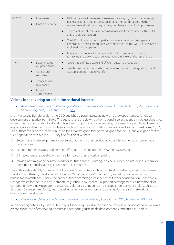| Finance | Investment<br>Financial secrecy<br>$\bullet$                                                                                                                        | UK international investment agreements are slightly better than average,<br>taking account of public policy goals of partners and supporting their<br>environmental and social regulations, but there is room for improvement. |  |  |
|---------|---------------------------------------------------------------------------------------------------------------------------------------------------------------------|--------------------------------------------------------------------------------------------------------------------------------------------------------------------------------------------------------------------------------|--|--|
|         |                                                                                                                                                                     | Scores well on international commitments and its compliance with the OECD<br>anti-bribery convention.                                                                                                                          |  |  |
|         |                                                                                                                                                                     | The UK could strengthen its performance as an open and transparent<br>$\bullet$<br>investor by a more comprehensive commitment to the OECD quidelines on<br>multinational companies.                                           |  |  |
|         |                                                                                                                                                                     | Low score on financial secrecy, which could be improved if overseas<br>$\bullet$<br>territories and crown dependencies moved in line with the rest of the UK.                                                                  |  |  |
| Trade   | Lower income-<br>weighted tariffs<br>Agricultural<br>$\bullet$<br>subsidies<br>Services trade<br>$\bullet$<br>restrictions<br>Logistics<br>$\bullet$<br>performance | Good trade infrastructure and efficient customs procedures.<br>Very few restrictions on trade in services and - due to being part of the EU<br>Customs Union - has low tariffs.                                                |  |  |

## <span id="page-13-0"></span>Visions for delivering on aid in the national interest

• After Brexit: new opportunities for global good in the national interest, Michael Anderson, Matt Juden and Andrew Rogerson, CGD, August 2016, [link.](https://www.cgdev.org/publication/after-brexit-new-opportunities-global-good-national-interest)

Shortly after the EU referendum, the CGD published a paper assessing new UK policy opportunities for global development that arise from Brexit. The authors take the view that the "national interest agenda is not just about aid; indeed, it is mostly not about aid at all. It touches on diplomacy, trade, security, movement of people, and financial regulation, as well as much else. Such an agenda will require a formidable combination of soft and hard power" (p. 6). The authors focus on the "triple win" of policies that are good for the world, good for the UK, and also good for the UK's negotiation to leave the EU. They find four clear winners:

- 1. Better trade for development counteracting the risk that developing countries come last in future trade negotiations.
- 2. Fighting modern slavery and people trafficking building on the UK Modern Slavery Act.
- 3. Climate change leadership new freedom to partner for carbon pricing.
- 4. Making new migration controls work for mutual benefit putting in place a unified 'points-based' system for migration control spanning EU and non-EU countries.

The authors also identify 'runner-up' policy areas: 1) restructuring UK agricultural subsidies, 2) establishing a new UK Development Bank, 3) developing a UK-owned "Smart Sanctions" mechanism, and 4) more cost-effective humanitarian assistance. Finally, the paper outlines promising areas that merit further consideration. These are: a stronger voice for the UK in environmental regulation, new intellectual property arrangements, a new model for competition law, a new procurement system, voluntary contracting into European delivery channels (such as the European Development Fund), new global initiatives on tax evasion, and boosting UK research networks in international development.

• Five ways to deliver UK aid in the national economic interest, Paddy Carter, ODI, September 2016, [link.](https://www.odi.org/sites/odi.org.uk/files/resource-documents/10897.pdf)

In this briefing note, ODI proposes five ways of spending UK aid in the national interest without compromising on its essential purpose of eradicating poverty and promoting sustainable development summarised in Table 2.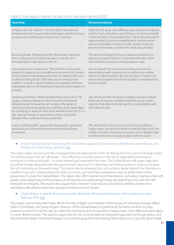#### Table 2: Five ways to deliver UK aid in the national interest (ODI)

| <b>Overview</b>                                                                                                                                                                                                                                                                                                                                                                                                            | <b>Recommendation</b>                                                                                                                                                                                                                                                                                                                                                  |
|----------------------------------------------------------------------------------------------------------------------------------------------------------------------------------------------------------------------------------------------------------------------------------------------------------------------------------------------------------------------------------------------------------------------------|------------------------------------------------------------------------------------------------------------------------------------------------------------------------------------------------------------------------------------------------------------------------------------------------------------------------------------------------------------------------|
| Enlightened self-interest: The UK's 2002 International<br>Development Act requires that aid be spent with the primary<br>purpose of contributing to a reduction in poverty.                                                                                                                                                                                                                                                | When the UK spots cost-effective opportunities to help the<br>world's most vulnerable, even if there is no obvious benefit<br>to the UK itself, it should take them. The UK should look for<br>opportunities to promote development overseas which<br>also bring benefits at home, but self-interest must not<br>become a necessary condition for all UK aid spending. |
| Boosting trade: Following the EU referendum, there has<br>been rising interest in exploring ways to use UK aid to<br>leverage better trade deals for the UK.                                                                                                                                                                                                                                                               | The UK should keep the focus of export promotion on<br>addressing market failures in international trade, rather<br>than indirectly using aid to finance export sales.                                                                                                                                                                                                 |
| New markets for investment: The UK has for a long time<br>invested in supporting the enabling environment for private<br>sector growth in developing countries, by helping them put<br>in place building blocks. DFID also uses its development<br>capital to 'crowd in' private investors into projects and new<br>enterprises. But not all investments have the same impact on<br>poverty.                               | Aid can benefit UK investors by driving inclusive and<br>sustainable growth overseas and by addressing market<br>failures in capital markets. But the secretary of state must<br>ensure that support from the aid budget is proportional to<br>poverty impact.                                                                                                         |
| Disaster prevention: While aid spending is set by the 0.7%<br>target, investing money to reduce future humanitarian<br>obligations will not save the UK money in the sense of<br>reducing total aid spending, but it will free up the aid budget<br>for spending on areas of more direct benefit to the UK. It is in<br>the national interest to spend less money coping with<br>disasters that could have been prevented. | The UK should take the lead in creating insurance-based<br>financing structures, complemented by strong country<br>systems, that disburse funds rapidly to organisations with<br>well-defined roles.                                                                                                                                                                   |
| Lead on global public goods: Exemplary public goods are<br>global security, the natural environment and pandemic<br>prevention.                                                                                                                                                                                                                                                                                            | The UK should continue to use aid to bring stability to<br>fragile states, and build on initiatives like the Ross Fund, the<br>Global Innovation Fund and Innovation UK to develop new<br>transformative technologies to share with the world.                                                                                                                         |

#### • Britain's Global Future: Harnessing the soft power capital of UK institutions, Philip Bond, James Noyes and Duncan Sim, ResPublica, July 2017, [link.](https://www.respublica.org.uk/wp-content/uploads/2017/07/ResPublica-Report-Britains-Global-Future.pdf)

This report takes into account the consequences and implications of the UK leaving the EU in terms of foreign policy. The authors argue that UK soft power – the influence a country exerts on the world stage without relying on economic or military strength – is more relevant and important than ever. The Global Britain soft power approach should be closely integrated with the government's approach to diplomacy and foreign policy in order to increase the UK's authority on the world stage. The report also emphasises that civil society is better placed than the state to establish long-term relationships with other countries, and that these institutions must be at the heart of the government's vision for Global Britain. The report also offers several recommendations, including creating a clear soft power vision based around the primacy of civil society and reallocating foreign aid spending in line with the UK's institutional strengths. The report also argues that a "smarter" international aid policy is needed, where more spending is allocated to education and government and civil society.

#### • Global Britain: A twenty-first century vision, Bob Seely MP and James Rogers, Henry Jackson Society, February 2019, [link.](https://henryjacksonsociety.org/wp-content/uploads/2019/02/HJS-Global-Britain-%C2%AD-A-Twenty-first-Century-Vision-Report-A4-web.pdf)

This report, authored by Bob Seely, MP for the Isle of Wight and member of the House of Commons Foreign Affairs Select Committee, and James Rogers, Director of the Global Britain Programme at the Henry Jackson Society, presents a vision for how the UK can make the institutions and instruments of state power more effective, particularly in a post-Brexit context. The authors argue that the UK currently lacks an integrated approach to foreign policy, and that it should create a National Strategy Council (emerging from the existing National Security Council), which leads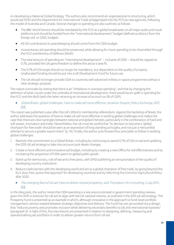on developing a National Global Strategy. The authors also recommend an organisational re-structuring, which would see DFID and the Department for International Trade amalgamated into the FCO as new agencies, following the model of Australia and Canada. Several changes to spending are also outlined, as follows:

- The BBC World Service should be mandated by the FCO as a global broadcaster on all major audio and visual platforms and should be funded from the "international development" budget (defined as distinct from the foreign aid, or ODA, budget).
- All UK contributions to peacekeeping should come from the ODA budget.
- Humanitarian aid spending should be preserved, while allowing for more spending to be channelled through the FCO and Ministry of Defence (MoD).
- The total amount of spending on "international development" inclusive of ODA should be capped at 0.7%, provided the UK gains freedom to define this aid as it sees fit.
- The 0.7% of GNI target should no longer be mandatory, but dependent on the quality of projects. Unallocated funding should be put into a UK Development Fund for future use.
- The UK should no longer provide ODA to countries with advanced military or space programmes without a clear strategic purpose.

The report concludes by noting that there is an "imbalance in overseas spending", and that by changing the definition of what counts under the umbrella of international development, there would be an uplift in spending for the FCO and the MoD (with the latter receiving an increase of as much as 3% of GDP).

• Global Britain, global challenges. How to make aid more effective, Jonathan Dupont, Policy Exchange, 2017, [link.](https://policyexchange.org.uk/wp-content/uploads/2017/07/Global-Britain-Global-Challenges-5th-July.pdf)

This report was published a year after the UK's 2016 EU membership referendum. Against the backdrop of Brexit, the author addresses the question of how to make UK aid more effective in tackling global challenges and makes the case that there are clear synergies between national and global interests, particularly in the combination of hard and soft power, innovation and trade. Nevertheless, the UK must be careful that "its decision to become a 'global champion for free trade' should be seen as an expression of long standing principles, and not just a mercantilist attempt to secure a greater export share" (p. 14). Finally, the author puts forward four principles to follow in tackling global challenges:

- 1. Maintain the commitment to a Global Britain, including by continuing to spend 0.7% of GNI on aid and updating the 2015 UK aid strategy to take into account post-Brexit changes.
- 2. Create a more efficient and innovative aid budget, including by creating a new Office for Aid Effectiveness and by increasing the proportion of ODA spent on global public goods.
- 3. Stand up for democracy, rule of law and a free press, with DFID publishing an annual analysis of the quality of developing country institutions.
- 4. Reduce trade barriers with the developing world and act as a global champion of free trade, by going beyond the EU's duty-free, quota-free approach for developing countries and by reforming the Common Agricultural Policy after 2020.
	- The changing face of UK aid: How to deliver mutual prosperity, Jack Thompson, PA Consulting, 2 July 2019, [link.](https://www.paconsulting.com/insights/the-changing-face-of-uk-aid-how-to-deliver-mutual-prosperity/)

In this blog post, the author notes that ODA spending is a key area scrutinised in government spending reviews, given the shift in direction for UK aid to align with the UK national interest, as outlined in the 2015 UK aid strategy. The Prosperity Fund is presented as an example in which, although innovative in the approach to fund-level portfolio management, tension existed between strategic objectives and delivery. The Fund has not yet worked out a design that "reduces poverty and promotes inclusion while delivering secondary benefits to UK and international business" (paragraph 3). In light of this, four key lessons are presented in relation to designing, defining, measuring and operationalising aid portfolios in order to deliver greater returns from UK aid: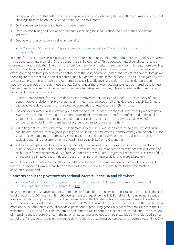- 1. Design programmes that balance primary purpose and secondary benefit, starting with the primary development challenge to solve before considering where the UK can support.
- 2. Define secondary benefits and how to achieve them.
- 3. Develop monitoring and evaluation procedures, including the identification and prioritisation of relevant indicators.
- 4. Decide who is responsible for delivering benefits.
	- Ethical foundations for aid: duty of rescue and mutual benefit, Paul Collier, ABC Religion and Ethics, 1 September 2016, [link.](https://www.abc.net.au/religion/ethical-foundations-for-aid-duty-of-rescue-and-mutual-benefit/10096596)

In a long-form online essay, Paul Collier argues that there is "nothing inherently bad about designing aid in such a way that it generates mutual benefit. On the contrary, it can be desirable." This is because mutual benefit can create a more equal relationship that differs from the "faux 'partnership' of charity", make donor commitments more credible, and even lead to larger aid budgets. Spending aid for mutual benefit does, however, carry the risk of an adverse effect: diverting aid from projects which contribute to the "duty of rescue" (part of the ethical rationale for foreign aid spending) to those that make a smaller contribution but generate benefits for the donor. This risk is mitigated by the fact that while each dollar of aid spent for mutual benefit is less effective for the duty of rescue, donors are still incentivised to provide more aid. Nevertheless, Collier argues that any project characterised by mutual benefit must be scrutinised to ensure that it is effective as the best alternative use of money. He demonstrates this scrutiny by looking at four distinct uses of aid:

- 1. Chinese infrastructure-for-resource deals, which removed conditionality and avoided the asymmetry of the donor-recipient relationship. However, this asymmetry was replaced by differing degrees of capability. Chinese packages were also opaque and not subject to competition, skewing terms in China's favour.
- 2. Subsidies for commercial investment, given that the poorest countries are short of investment by modern firms. Mass poverty cannot be overcome by donor financing of governments, therefore confining aid to the public sector restricts its potential. In contrast, aid to subsidise pioneer firms is an ethically reasonable way of compensating these firms for benefits that accrue to others (positive externalities).
- 3. Aid to fragile states¸ for which there is a legitimate duty of rescue. Aid used to address fragility (a global public bad) has the potential to be a global public good, yet it has become ethically controversial given the potential for security expenditure to be repressive. As security is a precondition for development, it is difficult to justify excluding spending that strengthens national military capability from aid spending.
- 4. Aid for the mitigation of climate change, specifically reducing carbon emissions. Climate change is a global priority, however it should be financed through new instruments such as carbon taxes rather than a diversion of aid budgets from their primary duty of rescue from mass despair. Some projects will meet the dual criteria of duty of rescue and climate change mitigation, but the most pertinent use of aid is for climate adaptation.

In conclusion, Collier notes that the ethical foundations of aid can be usefully reinforced by the addition of a selfinterest component. However, due to the potential for moral hazard, any claims to mutual benefit must be adequately scrutinised.

#### <span id="page-16-0"></span>Concerns about the pivot towards national interest, in the UK and elsewhere

• UK aid: allocation of resources, seventh report of session 2016-17, House of Commons, International Development Committee, 21 March 2017, [link.](https://publications.parliament.uk/pa/cm201617/cmselect/cmintdev/100/100.pdf)

In 2017, the International Development Committee (IDC) launched an inquiry into the allocation of UK aid. In the final inquiry report, the IDC notes a shift in UK development strategy since the 2016 EU referendum, including a change in tone on the relationship between the aid budget and trade. The IDC also notes the concern expressed by witnesses to the inquiry that UK aid could become "implicitly tied". While this would not be a formal condition, the shift to focus more on the national interest could provide expectations of producing goods or services from the UK. While the IDC welcomes DFID's strong focus on economic development as an important aspect of poverty reduction, the creation of mutually beneficial partnerships in the national interest must not lead to a rise in explicitly or implicitly tied aid. As part of this, "language surrounding leveraging aid for trade and creating opportunities for UK companies and the City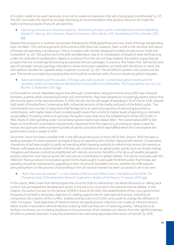of London needs to be used cautiously, so as not to create an impression that aid is being given conditionally" (p. 37). The IDC concludes the report by strongly reiterating its recommendation that poverty reduction be made the explicit primary purpose of any UK aid spending.

#### • Exporting stimulus and "shared prosperity": Reinventing foreign aid for a retroliberal era, Emma Mawdsley, Warwick E. Murray, John Overton, Regina Scheyvens, Glenn Banks, ODI, Development Policy Review, 2017, [link.](https://onlinelibrary.wiley.com/doi/abs/10.1111/dpr.12282)

Despite the recessions in northern economies following the 2008 global financial crisis, levels of foreign aid spending have not fallen. The central argument of this article is that there has, however, been a shift in the narrative and nature of foreign aid spending, constituting a "return to explicit self-interest designed to bolster private sector trade and investment" (p. 25). The authors term this shift retroliberalism, due to its revitalisation of (explicit) state-led financing under the umbrella of neoliberalism. Based on evidence from the UK and New Zealand, the authors argue that aid programmes are increasingly functioning as exported stimulus packages. In practice, this means that "aid has become part of a broader stimulus package intended to revive and sustain capitalism, primarily with the donors in mind, but with spillover benefits for capitalist elites in partner countries" (p. 40). The benefits for workers and citizens are less sure. The article concludes by proposing that aid should be reclaimed, with a focus on lessening global inequality.

• National interests and the paradox of foreign aid under austerity: Conservative governments and the domestic politics of international development since 2010, Emma Mawdsley, The Geographical Journal, Vol. 183, No. 3, September 2017[, link.](https://rgs-ibg.onlinelibrary.wiley.com/doi/abs/10.1111/geoj.12219)

In this academic article, Mawdsley argues that although Conservative-led governments since 2010 have imposed domestic austerity while maintaining foreign aid commitments, they have adopted an increasingly explicit stance that aid must be spent in the national interest. In 2014, the UK met the UN target of spending 0.7% of GNI on ODA, despite high levels of hostility from Conservative MPs, influential sections of the media, and parts of the British public. This commitment runs counter to arguments that foreign aid is an external projection of national approaches to redistribution, with higher levels of aid correlating with states that commit to higher levels of spending on domestic social welfare. Providing a historical overview, the author notes that since the establishment of the OECD DAC in 1960, levels of ODA spending under Conservative governments have always fallen. The Conservative 2009 Green Paper on One World Conservatism represented a departure from this trajectory, promising to adopt a value for money-led approach while maintaining levels of spend, a promise which was fulfilled when the Conservative-led government came to power in 2010.

Since then, there has been a notable shift in the official aid discourse of most OECD DAC donors. DFID has been a leading example of a more assertive and explicit focus on spending aid to further national self-interest. Conservative champions of aid have sought to justify aid spending while imposing austerity by referencing various UK interests as follows: soft power as an explicit benefit of foreign aid, contributions to global public goods (such as climate change mitigation and disease control) as enlightened self-interest, economic benefits to the UK as achievable alongside poverty reduction, and improving the UK's security as a contribution to global stability. The article concludes with the reflection that successive Conservative governments have sought to persuade the British public that foreign aid spending should be maintained by appealing to their moral and charitable instincts; whether the shift towards persuading them on the grounds of aid working in the UK national interest has been successful is yet to be seen.

#### • "Aid in the national interest" – in the interest of the poorest? Mike Green, The Reality of Aid 2018: The Changing Faces of Development Aid and Cooperation, Reality of Aid Report, 14 January 2019[, link.](https://reliefweb.int/sites/reliefweb.int/files/resources/Full-Version-RoA-Report-2018-min.pdf)

In this report, Mike Green from Bond argues that since the 2016 EU referendum, the Brexit discourse on 'taking back control' has permeated the development sector in the UK and is mirrored in the national interest debate. In this chapter, the author focuses on the decline of DFID's share of UK ODA, the establishment of the cross-government Prosperity Fund (with a secondary objective of creating opportunity for international business, including UK companies), the creation of the Conflict, Stability and Security Fund (CSSF), and a push to change the definition of ODA. He argues: "Dual objectives of national interest alongside poverty reduction can create an inherent tension, which results in secondary national interests eclipsing ODA's primary aim of reducing poverty. Taking this to its furthest conclusion, an increasing emphasis on the promotion of UK interests can distract from the rightful emphasis of ODA on poverty reduction. It also has potential to be a worrying step toward the return of tied aid" (p. 403).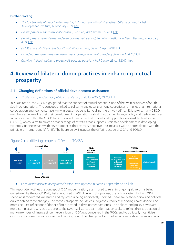#### Further reading:

- The "global Britain" report: rule-breaking in foreign aid will not strengthen UK soft power, Global Development Institute, 12 February 2019, [link.](http://blog.gdi.manchester.ac.uk/the-global-britain-report-rule-breaking-in-foreign-aid-will-not-strengthen-uk-soft-power/)
- Development aid and national interests, February 2019, British Council[, link.](https://www.britishcouncil.org/research-policy-insight/insight-articles/development-aid-national-interests)
- Development, self-interest, and the countries left behind, Brookings Institution, Sarah Bermeo, 7 February 2018, [link.](https://www.brookings.edu/blog/future-development/2018/02/07/development-self-interest-and-the-countries-left-behind/)
- DFID's share of UK aid rises but it's not all good news, Devex, 5 April 2019, [link.](https://www.devex.com/news/dfid-s-share-of-uk-aid-rises-but-it-s-not-all-good-news-94633)
- UK aid figures spark renewed alarm over cross-government spending, Devex, 6 April 2019[, link.](https://www.devex.com/news/uk-aid-figures-spark-renewed-alarm-over-cross-government-spending-92481)
- Opinion: Aid isn't going to the world's poorest people. Why?, Devex, 25 April 2019, [link.](https://www.devex.com/news/opinion-aid-isn-t-going-to-the-world-s-poorest-people-why-94747)

# <span id="page-18-0"></span>**4.**Review of bilateral donor practices in enhancing mutual prosperity

# <span id="page-18-1"></span>4.1 Changing definitions of official development assistance

• TOSSD Compendium for public consultation, draft June 2016, OECD[, link.](https://www.oecd.org/dac/financing-sustainable-development/TOSSD%20Compendium2016.pdf)

In a 2016 report, the OECD highlighted that the concept of mutual benefit "is one of the main principles of South-South co-operation… The concept is linked to solidarity and equality among countries and implies that international co-operation arrangements have win-win outcomes benefitting all partners involved" (p. 15). Likewise, many OECD members acknowledge that their development cooperation is also linked to their foreign policy and trade objectives. In recognition of this, the OECD has introduced the concept of total official support for sustainable development (TOSSD), which "aims to cover a broader range of activities that support sustainable development in developing countries, not necessarily with development as their primary objective. This means it will be better aligned with the principle of mutual benefit" (p. 15). The figure below illustrates the differing scope of ODA and TOSSD.

# Figure 2: the differing scope of ODA and TOSSD



#### • ODA modernisation background paper, Development Initiatives, September 2017, [link.](http://devinit.org/wp-content/uploads/2017/09/Backgound-paper_ODA-modernisation.pdf)

This report demystifies the concept of ODA modernisation, a term used to refer to ongoing aid reforms being undertaken by the OECD DAC, first announced in 2012. Through this process, the official system for how ODA spending is monitored, measured and reported is being significantly updated. There are both technical and political drivers behind these changes. The technical aspects include ensuring consistency of reporting across donors and more accurate reflections of donor effort allocated to development activities. The political and policy drivers are more complex and vary across donors. The DAC itself states that modernisation seeks to reflect the introduction of many new types of finance since the definition of ODA was conceived in the 1960s, and to politically incentivise donors to increase more concessional financing flows. The changes will also better accommodate the ways in which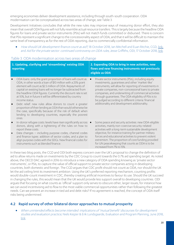emerging economies deliver development assistance, including through south-south cooperation. ODA modernisation can be conceptualised across two areas of change, see Table 3.

Development Initiatives concludes that while the new rules may improve ways of measuring donor effort, they also mean that overall ODA figures will not fully resemble actual resource transfers. This is largely because the headline ODA figures for loans and private sector instruments (PSIs) will not match funds committed or disbursed. There is concern that PSIs represent a significant change to the concessionality aspect of ODA, and that it will be difficult to maintain the same level of transparency as for the rest of ODA reporting, due to commercially confidential information.

• How should UK development finance count as aid?, 18 October 2018, Ian Mitchell and Euan Ritchie, CGD, [link;](https://www.cgdev.org/blog/how-should-uk-development-finance-count-aid) and Aid for the private sector: continued controversy on ODA rules, Jesse Griffiths, ODI, 17 October 2018[, link.](https://www.odi.org/comment/10699-aid-private-sector-continued-controversy-oda-rules)

#### Table 3: ODA modernisation across two areas of change

| 1. Updating, clarifying and 'streamlining' existing ODA<br>reporting                                                                                                                                                                                                                                                                                                                                                                                                                                                                                                                                                                                                          | 2. Expanding ODA to bring in new activities, new<br>flows and new financing instruments not previously<br>eligible as ODA                                                                                                                                                                                                                                                                                                                          |  |
|-------------------------------------------------------------------------------------------------------------------------------------------------------------------------------------------------------------------------------------------------------------------------------------------------------------------------------------------------------------------------------------------------------------------------------------------------------------------------------------------------------------------------------------------------------------------------------------------------------------------------------------------------------------------------------|----------------------------------------------------------------------------------------------------------------------------------------------------------------------------------------------------------------------------------------------------------------------------------------------------------------------------------------------------------------------------------------------------------------------------------------------------|--|
| ODA loans: only the grant proportion of loans will count as<br>ODA, in other words a loan of \$10 million with a 25% grant<br>element will count as \$2.5 million of ODA. Repayments of<br>capital on existing loans will no longer be subtracted from<br>the headline ODA figures. Currently the discount rate is set<br>at 10%, but in future it will be differentiated by country<br>income status.<br>Debt relief: new rules allow donors to count a greater<br>$\bullet$<br>proportion of their lending as ODA than would otherwise be<br>the case, specifically because of the risk of default when<br>lending to developing countries, especially the poorest<br>ones. | Private sector instruments (PSIs), including equity<br>investments, quarantees and other 'market-like'<br>instruments, will allow for reporting of investments in<br>private companies, non-concessional loans to private<br>companies, and underwriting of commercial activities<br>through quarantees. The ODA eligibility of PSIs is to<br>be judged according to different criteria: financial<br>additionality and development additionality. |  |
| In-donor refugee costs: levels have risen significantly across<br>$\bullet$<br>donors, along with a tightening of the rules on how to<br>report these costs.                                                                                                                                                                                                                                                                                                                                                                                                                                                                                                                  | Some peace and security activities: new ODA-eligible<br>activities, mainly non-coercive security-related<br>activities with a long-term sustainable development                                                                                                                                                                                                                                                                                    |  |
| Data changes - including purpose codes, channel codes<br>$\bullet$<br>and finance types: addition of sector codes, and a plan to<br>align purpose codes with the SDGs. New financial codes for<br>instruments such as blended finance.                                                                                                                                                                                                                                                                                                                                                                                                                                        | objective, for instance training for partner military<br>forces and educational activities to prevent violent<br>extremism. The proportion of core funding provided<br>for UN peacekeeping that counts as ODA is to be<br>increased from 7% to 15%.                                                                                                                                                                                                |  |

In these two blog posts, the CGD and ODI both express concern over the UK's proposal to change the definition of aid to allow returns made on investments by the CDC Group to count towards the 0.7% aid spending target. As noted above, the OECD DAC agreed in 2016 to introduce a new category of ODA spending knowing as 'private sector instruments', or PSIs, to capture the value of official support to private sector companies acting in developing countries, both domestic and foreign. The CGD argues that CDC profit should not count as ODA, nor should the UK let the aid ceiling limit its investment ambition. Using the UK's preferred reporting mechanism, counting profits would double-count investment in CDC, thereby creating artificial incentives to favour its use. Should the UK succeed in changing the rules, this would mean that the UK would provide less support overall to developing countries. ODI argues that focusing on what counts as 'official' support only serves to obscure other, larger issues, for instance how we can avoid incentivising aid to flow to the most viable commercial opportunities rather than following the greatest needs. Can we prevent an increase in tied aid and debt risks? If no agreement is reached, the concept of ODA itself risks being undermined.

#### <span id="page-19-0"></span>4.2 Rapid survey of other bilateral donor approaches to mutual prosperity

• When unintended effects become intended: implications of 'mutual benefit' discourses for development studies and evaluation practice, Niels Keijzer & Erik Lundsgaarde, Evaluation and Program Planning, June 2018, [link.](http://pure.diis.dk/ws/files/851008/keijzer_lundsgaarde_2017_7.pdf)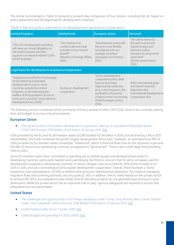The article (summarised in Table 4) presents a present-day comparison of four donors, including the UK, based on policy statements and the legal basis for development initiatives.

#### Table 4: Recent policy statements on development assistance/cooperation

| <b>United Kingdom</b>                                                                                                                                                                                                                                                         | <b>Netherlands</b>                                                                                                                | <b>European Union</b>                                                                                                                                                                                                       | <b>Denmark</b>                                                                                                                                                      |
|-------------------------------------------------------------------------------------------------------------------------------------------------------------------------------------------------------------------------------------------------------------------------------|-----------------------------------------------------------------------------------------------------------------------------------|-----------------------------------------------------------------------------------------------------------------------------------------------------------------------------------------------------------------------------|---------------------------------------------------------------------------------------------------------------------------------------------------------------------|
| "The UK's development spending<br>will meet our moral obligation to<br>the world's poorest and also<br>support our national interest" (2015<br>UK aid strategy).                                                                                                              | "Our mission is to<br>combine aid and trade<br>activities to our mutual<br>benefit"<br>(Ministry of Foreign Affairs,<br>$2013$ ). | "Development policy will<br>become more flexible<br>and aligned with our<br>strategic priorities"<br>(European Commission,<br>$2016$ ).                                                                                     | "We will be driven by<br>the wish to promote<br>Danish foreign and<br>domestic policy<br>interests at one and the<br>same time"<br>(Danish government,<br>$2016$ ). |
| Legal basis for development assistance/cooperation                                                                                                                                                                                                                            |                                                                                                                                   |                                                                                                                                                                                                                             |                                                                                                                                                                     |
| "Assistance provided for the purpose<br>of (a) furthering sustainable<br>development in one or more<br>countries outside the United<br>Kingdom, or (b) improving the<br>welfare of the population of one or<br>more such countries" (International<br>Development Act, 2002). | No law on development<br>cooperation.                                                                                             | "Union development<br>cooperation policy shall<br>have as its primary<br>objective the reduction<br>and, in the long term, the<br>eradication of poverty"<br>(Treaty on the Functioning<br>of the European Union,<br>2012). | Both international goals<br>and Danish interests<br>featured in the<br>International Development<br>Cooperation Act.                                                |

The following section constitutes short summaries of how a sample of other OECD DAC donors are currently utilising their aid budgets to pursue mutual prosperity.

#### <span id="page-20-0"></span>European Union

• The modernization of European development cooperation: leaving no one behind? Alexandra Rosen, CONCORD Europe, 2018 Reality of Aid report, 14 January 2019, [link.](http://www.realityofaid.org/wp-content/uploads/2018/12/RoA-Full-Report2018FINAL3-min.pdf)

ODA provided by the EU and its 28 member states (EU28) totalled €75.46 billion in 2016, but declined by 2.4% in 2017. Nevertheless, the EU28 constitute the world's largest development donor bloc. However, an estimated one-fifth of ODA provided by EU member states constitutes "inflated aid", which is financial flows that do not represent a genuine transfer of resources to developing countries, as opposed to "genuine aid". There is also a shift away from providing ODA to LDCs.

Some EU member states have committed to spending aid on delivering genuine developmental impact in developing countries, particularly Sweden and Luxembourg. But there is concern that EU aid is not always used for development purposes in developing countries. In-donor refugee costs accounted for 30% of the increase in EU ODA in 2016, and are a central feature of European development cooperation. Overall, there has been a "trend towards an instrumentalisation of ODA to address emerging non-development objectives", for instance managing migration flows and achieving domestic security goals (p. 343). In addition, the EU relies heavily on the private sector to achieve the SDGs, but evaluations have shown that EU blending projects do not generally have strong pro-poor dimensions. While the private sector has an important role to play, rigorous safeguards are required to ensure that inequalities are not exacerbated.

#### <span id="page-20-1"></span>United States

- The challenges and opportunities of US foreign assistance under Trump, Tarig Ahmad, Marc Cohen, Nathan Coplin, Aria Grabowski, Oxfam America, 2018 Reality of Aid report, 14 January 2019, [link.](http://www.realityofaid.org/wp-content/uploads/2018/12/RoA-Full-Report2018FINAL3-min.pdf)
- United States profile, Donor Tracker, 2019[, link.](https://donortracker.org/sites/default/files/donor_pdfs/DonorTracker_Profile_USA_2019-1-22.pdf)
- USAID Budget and spending FY 2020, USAID[, link.](https://www.usaid.gov/cj)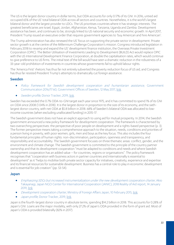The US is the largest donor country in dollar terms, but ODA accounts for only 0.17% of its GNI. In 2016, untied aid occupied 65% of the US' total bilateral ODA across all sectors and countries. Nonetheless, it is the world's largest bilateral donor and the largest provider to LDCs. The US prioritises countries where it has strategic interests. The greatest beneficiaries are Israel, Egypt, Jordan, Afghanistan, Kenya, Tanzania, Uganda and Zambia. Development assistance has been, and continues to be, strongly linked to US national security and economic growth. In April 2017, President Trump issued an executive order that requires government agencies to 'buy American and hire American'.

The Trump administration has also renewed the US' focus on supporting the private sector in development. Private sector growth is at the centre of the Millennium Challenge Corporation's mission. Congress introduced legislation in February 2018 to revamp and expand the US' development finance institution, the Overseas Private Investment Corporation (OPIC). The Better Utilisation of Investments Leading to Development (BUILD) Act would replace OPIC with the US International Development Finance Corporation, at double the capitalisation rates, which would continue to give preference to US firms. The initial text of the bill would have seen a dramatic reduction in the robustness of a 33-year-old prohibition of investments in countries whose governments fail to uphold labour rights.

The 'America First' rhetoric has thus far not entirely subverted the poverty reduction focus of US aid, and Congress has thus far resisted President Trump's attempts to dramatically cut foreign assistance.

#### <span id="page-21-0"></span>Sweden

- Policy framework for Swedish development cooperation and humanitarian assistance, Government Communication 2016/17:60, Government Offices of Sweden, 12 May 2017, [link.](https://www.government.se/49a184/contentassets/43972c7f81c34d51a82e6a7502860895/skr-60-engelsk-version_web.pdf)
- Sweden profile, Donor Tracker, 2019[, link.](https://donortracker.org/sites/default/files/donor_pdfs/DonorTracker_Profile_Sweden_2019-1-18.pdf)

Sweden has exceeded the 0.7% ODA-to-GNI target each year since 1975, and it has committed to spend 1% of its GNI on ODA since 2008 (1.04% in 2018). It is the largest donor in proportion to the size of its economy, and the sixthlargest donor country, with net ODA at \$5.8 billion in 2018. 68% of Sweden's bilateral ODA was allocated to lowincome countries (when excluding unallocated funding) in 2015-17.

The Swedish government does not have an explicit approach to using aid for mutual prosperity. In 2014, the Swedish government announced a new policy framework for development cooperation. The framework is characterised by two overarching perspectives: the perspective of poor people on development and a rights-based perspective (p. 3). The former perspective means taking a comprehensive approach to the situation, needs, conditions and priorities of a person living in poverty, with poor women, girls, men and boys as the key focus. This also includes the four fundamental principles of human rights: non-discrimination, participation, openness and transparency, and responsibility and accountability. The Swedish government focuses on three thematic areas: conflict, gender, and the environment and climate change. The Swedish government is committed to the principle of the country partner ownership and that its development cooperation "must be adapted to conditions and needs and where Swedish development cooperation has an added value – for countries, regions or organisations". The policy framework recognises that "cooperation with business actors in partner countries and internationally is essential to development" as it "helps to mobilise both private sector capacity for initiatives, creativity, experience and expertise and its financial resources for sustainable development. Business has a central role to play in economic development and is essential for job creation" (pp.53-54).

#### <span id="page-21-1"></span>Japan

- Emphasizing SDGs but increased instrumentalization under the new development cooperation charter, Akio Takayanagi, Japan NGO Center for International Cooperation (JANIC), 2018 Reality of Aid report, 14 January 2019, [link.](http://www.realityofaid.org/wp-content/uploads/2018/12/RoA-Full-Report2018FINAL3-min.pdf)
- Development cooperation charter, Ministry of Foreign Affairs Japan, 10 February 2015, [link.](https://www.mofa.go.jp/files/000067701.pdf)
- Japan profile, Donor Tracker, 2019, [link.](https://donortracker.org/sites/default/files/donor_pdfs/DonorTracker_Profile_Japan_2019-1-17.pdf)

Japan is the fourth-largest donor country in absolute terms, spending \$14.2 billion in 2018. This accounts for 0.28% of Japan's GNI. Loans are the major modality, with only 27.2% of Japan's ODA provided in the form of grant aid. Most of Japan's ODA is provided bilaterally (82% in 2017).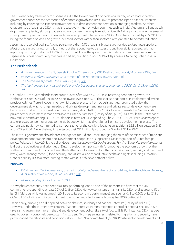The current policy framework for Japanese aid is the Development Cooperation Charter, which states that the government prioritises the promotion of economic growth and uses ODA to promote Japan's national interests, including by involving the Japanese private sector in development cooperation in emerging markets. Another characteristic of Japanese ODA is that it focuses very much on Asian countries such as India, Vietnam and Bangladesh (top three recipients), although Japan is now also strengthening its relationship with Africa, particularly in the areas of strengthened governance and infrastructure development. The Japanese NGO JANIC has criticised Japan's ODA for being too focused on Asia and growth-oriented sectors, rather than sectors directly related to poverty reduction.

Japan has a record of tied aid. At one point, more than 95% of Japan's bilateral aid was tied to Japanese suppliers. Most of Japan's aid is now formally untied, but there continue to be issues around how aid is reported, with no reporting on the tying status of 10.2% of its aid. In addition, the government is under constant pressure from the Japanese business community to increase tied aid, resulting in only 77.4% of Japanese ODA being untied in 2016 (12.4% tied).

# <span id="page-22-0"></span>The Netherlands

- A mixed message on ODA, Daniela Rosche, Oxfam Novib, 2018 Reality of Aid report, 14 January 2019[, link.](http://www.realityofaid.org/wp-content/uploads/2018/12/RoA-Full-Report2018FINAL3-min.pdf)
- *Investing in global prospects*, Government of the Netherlands, 18 May 2018, [link.](https://www.government.nl/documents/policy-notes/2018/05/18/investing-in-global-prospects)
- The Netherlands profile, Donor Tracker, 2019, [link.](https://donortracker.org/country/netherlands)
- The Netherlands is an innovative aid provider but budget pressures a concern, OECD-DAC, 28 June 2018, [link.](https://www.oecd.org/newsroom/the-netherlands-is-an-innovative-aid-provider-but-budget-pressures-a-concern.htm)

Up until 2010, the Netherlands spent around 0.8% of its GNI on ODA. Despite strong economic growth, the Netherlands spent 0.6% of GNI in 2017, the lowest level since 1974. This shift is to support cuts implemented by the previous cabinet (Rutte-II government) which, under pressure from populist parties, "promoted a view that development aid was no longer needed and private development finance and private sector development were better suited to help the poorest countries progress; about half of the ODA allocated towards the Netherlands private sector instrument is made available to Dutch businesses" (Reality of Aid, p.376). As a result, the Netherlands now ranks seventh among OECD DAC donors in terms of ODA spending. The 2017 OECD DAC Peer Review report also expresses concern over cuts to the aid budget which may divert funds from core development projects. The current cabinet is now committed to compensating for the cuts by allocating an additional \$2.5 billion between 2019 and 2022 as ODA. Nevertheless, it is projected that ODA will only account for 0.54% of GNI in 2022.

The Rutte-II government also adopted the Agenda for Aid and Trade, merging the roles of the ministries of trade and development cooperation into one. Development cooperation is regarded as an integral part of Dutch foreign policy. Released in May 2018, the policy document 'Investing in Global Prospects: For the World, For the Netherlands' laid out the objectives and priorities of Dutch development policy, with "promoting the economic growth of the Netherlands" as one of four objectives. The Netherlands focuses on four thematic priorities: 1) security and the rule of law, 2) water management, 3) food security, and 4) sexual and reproductive health and rights including HIV/AIDS. Gender equality is also a cross-cutting theme within Dutch development policy.

#### <span id="page-22-1"></span>**Norway**

- What next for the long-standing champion of high aid levels? Irene Dotterud-Flaa, Save the Children Norway, 2018 Reality of Aid report, 14 January 2019, [link.](http://www.realityofaid.org/wp-content/uploads/2018/12/RoA-Full-Report2018FINAL3-min.pdf)
- Norway profile, Donor Tracker, 2019, [link.](https://donortracker.org/country/norway)

Norway has consistently been seen as a 'top-performing' donor, one of the only ones to have met the UN commitment to spending at least 0.7% of GNI on ODA. Norway consistently maintains its ODA level at around 1% of its GNI (although this was not met in 2018 due to its economic performance) and spends 0.15to 0.20% of its GNI on ODA to LDCs. In line with its commitment to ensuring aid effectiveness, Norway has 100% untied aid.

Traditionally, Norwegian aid is spread between altruism, solidarity and national interests (Reality of Aid 2018). However, under the current government, "national interests, namely migration control or national security, have taken a more prominent role in the aid and development policy" (Reality of Aid, p. 385). For instance, ODA has been used to cover in-donor refugee costs in Norway and "Norwegian interests related to migration and security have partly shaped the rationale and geographical focus" for ODA commitment (p.391). Private sector development and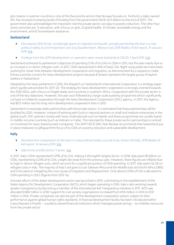job creation in partner countries is one of the five priority sectors that Norway focuses on. Norfund, a state-owned DFI, has received increasing levels of funding from the government (NOK 20.4 billion by the end of 2017). The government also acknowledges the important role the private sector can play in poverty reduction. The other four sector priorities are: 1) education, with a focus on girls, 2) global health, 3) climate, renewable energy and the environment, and 4) humanitarian assistance.

#### <span id="page-23-0"></span>Switzerland

- Decreasing ODA funds, increasingly spent on migration and public-private partnership the test in a new political reality, Eva Schmassmann and Jürg Staudenmann, Alliance Sud, 2018 Reality of Aid report, 14 January 2019, [link.](http://www.realityofaid.org/wp-content/uploads/2018/12/RoA-Full-Report2018FINAL3-min.pdf)
- Findings from the 2019 development co-operation peer review Switzerland, OECD, 5 April 2019[, link.](https://www.oecd.org/dac/peer-reviews/Switzerland-2019-Infographic.pdf)

Switzerland achieved its parliament's objective of spending 0.5% of its GNI on ODA in 2015, but this was mainly due to an increase in in-donor refugee costs. In 2017, ODA represented 0.46% of Swiss GNI. Right-wing politicians have been pushing for closer links between development cooperation and migration, as demonstrated by a request to make Eritrea a priority country for Swiss development projects because Eritreans represent the largest group of asylum seekers in Switzerland.

Adopted by the Swiss parliament in 2016, the Dispatch on Switzerland's International Cooperation is a strategy paper which guides aid activities for 2017-20. The strategy for Swiss development cooperation is strongly oriented towards the 2030 SDGs, with a focus on fragile states and countries in southern Africa. Cooperation with the private sector is one of the key objectives. However, this was soon followed by a large-scale austerity programme which significantly cut back on bilateral cooperation through the Swiss Development Cooperation (SDC) agency. In 2017, the Agency had \$175 million less for long-term development cooperation than in 2015.

Switzerland increasingly seeks partnerships with the private sector. It is estimated that these partnerships will be doubled by 2020. However, instead of working with local or national partners or small and medium enterprises in the global south, SDC partners mostly with Swiss multinationals such as Nestlé, and these programmes are usually based in middle-income countries (such as Vietnam or India). The rationale for these private sector partnerships is centred on incentives for Swiss-based private companies. The 2019 OECD DAC Peer Review recommends that Switzerland put in place measures to safeguard the focus of its ODA on poverty reduction and sustainable development.

# <span id="page-23-1"></span>Italy

- Development cooperation to the test in a new political reality, Luca de Fraia, Action Aid Italy, 2018 Reality of Aid report, 14 January 2019, [link.](http://www.realityofaid.org/wp-content/uploads/2018/12/RoA-Full-Report2018FINAL3-min.pdf)
- Italy Donor profile, Donor Tracker, [link.](https://donortracker.org/country/italy)

In 2017, Italy's ODA represented 0.29% of its GNI, making it the eighth-largest donor. In 2018, Italy spent \$5 billion on ODA, representing 0.24% of its GNI, a slight decrease from the previous year. However, these figures are inflated due to high in-donor refugee costs, which account for a significant portion of ODA spending. In 2017, Italy spent 56.2% on refugee costs in Italy. The majority of Italy's aid goes to sub-Saharan Africa and the Middle East and North Africa (38%) and is focused on mitigating the root causes of migration and displacement. Only about 0.05% of GNI is allocated to ODA spending in LDCs (figures from 2015-16).

A broad reform of the Italian development sector was launched in 2014, culminating in the establishment of the Italian Agency for Development Cooperation (AICS), which began operating in 2016. Italy is also working towards greater transparency by becoming a member of the International Aid Transparency Initiative in 2017. AICS was allocated €488 million in 2018. Support for civil society organisations increased from €94 million in 2014 to €137 million in 2016. Private companies can also be part of the development cooperation system, subject to their performance against global human rights standards. A financial development facility has been introduced within Cassa Depositi e Prestiti – a publicly owned financial institution which manages postal savings – to mobilise resources from the private sector.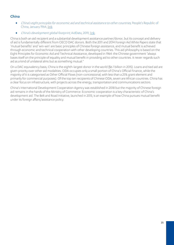# <span id="page-24-0"></span>China

- China's eight principles for economic aid and technical assistance to other countries, People's Republic of China, January 1964[, link.](http://www.china.org.cn/government/whitepaper/2011-04/21/content_22411843.htm)
- China's development global footprint, AidData, 2019[, link.](https://www.aiddata.org/china-official-finance)

China is both an aid recipient and a substantial development assistance partner/donor, but its concept and delivery of aid is fundamentally different from OECD DAC donors. Both the 2011 and 2014 Foreign Aid White Papers state that 'mutual benefits' and 'win-win' are basic principles of Chinese foreign assistance, and mutual benefit is achieved through economic and technical cooperation with other developing countries. This aid philosophy is based on the Eight Principles for Economic Aid and Technical Assistance, developed in 1964: the Chinese government "always bases itself on the principle of equality and mutual benefit in providing aid to other countries. It never regards such aid as a kind of unilateral alms but as something mutual."

On a DAC equivalency basis, China is the eighth-largest donor in the world (\$6.1 billion in 2015). Loans and tied aid are given priority over other aid modalities. ODA occupies only a small portion of China's Official Finance, while the majority of it is categorised as Other Official Flows (non-concessional, with less than a 25% grant element and primarily for commercial purposes). Of the top ten recipients of Chinese ODA, seven are African countries. China has a clear focus on infrastructure, with projects across the energy, transportation and communications sectors.

<span id="page-24-1"></span>China's International Development Cooperation Agency was established in 2018 but the majority of Chinese foreign aid remains in the hands of the Ministry of Commerce. Economic cooperation is a key characteristic of China's development aid. The Belt and Road Initiative, launched in 2013, is an example of how China pursues mutual benefit under its foreign affairs/assistance policy.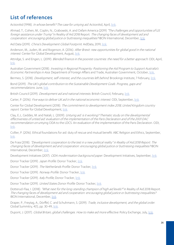# List of references

ActionAid (1998). In whose benefit? The case for untying aid. ActionAid, April[, link.](https://www.actionaid.org.uk/sites/default/files/doc_lib/66_1_whose_benefit.pdf)

Ahmad, T., Cohen, M., Coplin, N., Grabowski, A. and Oxfam America (2019) "The challenges and opportunities of US foreign assistance under Trump" in Reality of Aid 2018 Report. The changing faces of development aid and cooperation: encouraging global justice or buttressing inequalities? IBON International, December, [link.](http://www.realityofaid.org/wp-content/uploads/2018/12/RoA-Full-Report2018FINAL3-min.pdf)

Aid Data (2019). China's Development Global Footprint. AidData, 2019, [link.](https://www.aiddata.org/china-official-finance)

Anderson, M., Juden, M. and Rogerson, A. (2016). After Brexit: new opportunities for global good in the national interest. Center for Global Development, August, [link.](https://www.cgdev.org/sites/default/files/after-brexit-new-opportunities-global-good-national-interest.pdf)

Attridge, S. and Engen, L. (2019). *Blended finance in the poorest countries: the need for a better approach*. ODI, April, [link.](https://www.odi.org/publications/11303-blended-finance-poorest-countries-need-better-approach)

Australian Government (2018). Investing in Regional Prosperity: Positioning the Aid Program to Support Australia's Economic Partnerships in Asia. Department of Foreign Affairs and Trade, Australian Government, October[, link.](https://dfat.gov.au/aid/how-we-measure-performance/ode/strategic-evaluations/Documents/investing-in-regional-prosperity.pdf)

Bermeo, S. (2018). Development, self-interest, and the countries left behind. Brookings Institute, 7 February, [link.](https://www.brookings.edu/blog/future-development/2018/02/07/development-self-interest-and-the-countries-left-behind/)

Bond (2019). The UK's global contribution to the Sustainable Development Goals. Progress, gaps and recommendations. June, [link.](https://www.bond.org.uk/sites/default/files/bond_the_uks_global_contribution_to_the_sdgs_online_full_report.pdf)

British Council (2019). *Development aid and national interests*. British Council, February, *link.* 

Carter, P. (2016). Five ways to deliver UK aid in the national economic interest. ODI, September, [link.](https://www.odi.org/sites/odi.org.uk/files/resource-documents/10897.pdf)

Center for Global Development (2018). The commitment to development index 2018, United Kingdom country report. Center for Global Development, [link.](https://www.cgdev.org/commitment-development-index-2018)

Clay, E.J., Geddes, M. and Natali, L. (2009). Untying aid: is it working? Thematic study on the developmental effectiveness of untied aid: evaluation of the implementation of the Paris Declaration and of the 2001 DAC recommendation on untying ODA to the LDCS. An evaluation of the implementation of the Paris Declaration. ODI, [link.](https://www.odi.org/sites/odi.org.uk/files/odi-assets/publications-opinion-files/6865.pdf)

Collier, P. (2016). Ethical foundations for aid: duty of rescue and mutual benefit. ABC Religion and Ethics, September, [link.](https://www.abc.net.au/religion/ethical-foundations-for-aid-duty-of-rescue-and-mutual-benefit/10096596)

De Fraia (2018). "Development cooperation to the test in a new political reality" in Reality of Aid 2018 Report. The changing faces of development aid and cooperation: encouraging global justice or buttressing inequalities? IBON International, December[, link.](http://www.realityofaid.org/wp-content/uploads/2018/12/RoA-Full-Report2018FINAL3-min.pdf)

Development Initiatives (2017). ODA modernisation background paper. Development Initiatives, September[, link.](http://devinit.org/wp-content/uploads/2017/09/Backgound-paper_ODA-modernisation.pdf)

Donor Tracker (2019). Japan Profile. Donor Tracker, [link.](https://donortracker.org/sites/default/files/donor_pdfs/DonorTracker_Profile_Japan_2019-1-17.pdf)

Donor Tracker (2019). The Netherlands Profile. Donor Tracker[, link.](https://donortracker.org/country/netherlands)

Donor Tracker (2019). Norway Profile. Donor Tracker, [link.](https://donortracker.org/country/norway)

Donor Tracker (2019). Italy Profile, Donor Tracker, [link.](https://donortracker.org/country/italy)

Donor Tracker (2019). United States Donor Profile. Donor Tracker, [link.](https://donortracker.org/sites/default/files/donor_pdfs/DonorTracker_Profile_USA_2019-1-22.pdf)

Dotterud-Flaa, I. (2018). "What next for the long-standing champion of high aid levels?" in Reality of Aid 2018 Report. The changing faces of development aid and cooperation: encouraging global justice or buttressing inequalities? IBON International, December, [link.](http://www.realityofaid.org/wp-content/uploads/2018/12/RoA-Full-Report2018FINAL3-min.pdf)

Draper, P., Freytag, A., Dörffel, C. and Schuhmann, S. (2019). Trade, inclusive development, and the global order. Global Summitry, 4(1), pp. 30-49[, link.](https://academic.oup.com/globalsummitry/article/4/1/30/5453526) 

Dupont, J. (2017). *Global Britain, global challenges. How to make aid more effective.* Policy Exchange, July[, link.](https://policyexchange.org.uk/wp-content/uploads/2017/07/Global-Britain-Global-Challenges-5th-July.pdf)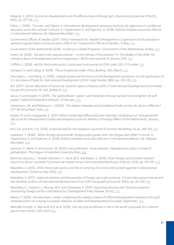Edwards, S. (2015). Economic development and the effectiveness of foreign aid, a historical perspective. KYKLOS, 68(3), pp. 277-316[, link.](https://papers.ssrn.com/sol3/papers.cfm?abstract_id=2637674) 

Fisher, J. (2018). "'Success' and 'failure' in international development: assessing evolving UK objectives in conditional aid policy since the cold war" in Kruck. A., Oppermann, K. and Spencer, A. (2018) Political mistakes and policy failures in international relations. UK: Palgrave Macmillan, link.

Government Offices of Sweden (2017). Policy framework for Swedish Development Cooperation and humanitarian assistance government communication 2016/17:60. Government Offices of Sweden, 12 May[, link.](https://www.government.se/49a184/contentassets/43972c7f81c34d51a82e6a7502860895/skr-60-engelsk-version_web.pdf)

Government of the Netherlands (2018). Investing in Global Prospects. Government of the Netherlands, 18 May[, link.](https://www.government.nl/documents/policy-notes/2018/05/18/investing-in-global-prospects)

Green, M. (2018). "UK aid in the national interest – in the interest of the poorest?" in The Reality of Aid 2018: the changing faces of development aid and cooperation'. IBON International, 14 January 2019, link.

Griffiths, J. (2018). Aid for the private sector: continued controversy on ODA rules. ODI, 17 October[, link.](https://www.odi.org/blogs/10699-aid-private-sector-continued-controversy-oda-rules)

Gulrajani, N. and Calleja, R. (2018). The principled aid index. Policy Briefing. ODI, March, link.

Harrington, J. and Manji, A. (2018). Judicial review and the future of UK development assistance: On the Application of O v Secretary of State for International Development (2014). Legal Studies, 38(2), pp. 320-335, [link.](https://www.cambridge.org/core/journals/legal-studies/article/judicial-review-and-the-future-of-uk-development-assistance-on-the-application-of-o-v-secretary-of-state-for-international-development-2014/742B00FD8E74201CA13D966EFCB3611C)

IDC (2017). UK aid: allocation of resources. Seventh report of session 2016-17. International Development Committee, House of Commons, HC 100, 28 March, [link.](https://publications.parliament.uk/pa/cm201617/cmselect/cmintdev/100/100.pdf)

Janus, H. and Keijzer, N. (2019). The 'global Britain' report: rule-breaking in foreign aid will not strengthen UK soft power. Global Development Institute, 12 February, link.

Johansson, L.M. and Pettersson, J. (2009). The relation between aid and bilateral trade: are Nordic donors different? UTV Working Paper, Sida, [link.](https://www.researchgate.net/profile/Jan_Pettersson4/publication/272160735_The_Relation_between_Aid_and_Bilateral_Trade_Are_Nordic_Donors_Different/links/54dc62aa0cf2a7769d95f77a/The-Relation-between-Aid-and-Bilateral-Trade-Are-Nordic-Donors-Different.pdf)

Keijzer, N. and Lundsgaarde, E. (2017) When unintended effects become intended. Implications of 'mutual benefit' discourse for development studies and evaluation practice. Ministry of Foreign Affairs of the Netherlands, January, [link.](http://pure.diis.dk/ws/files/851008/keijzer_lundsgaarde_2017_7.pdf)

Kim, S.K. and Kim, Y.H. (2016). Is tied aid bad for the recipient countries? Economic Modelling, 53, pp. 289-301, [link.](https://www.sciencedirect.com/science/article/pii/S0264999315003934)

Lankester, T. (2018). "When foreign aid and wider foreign policy goals clash: the Pergau Dam Affair" in Kruck, A., Oppermann, K. and Spencer, A. (2018) Political mistakes and policy failures in international relations. UK: Palgrave Macmillan[, link.](https://www.palgrave.com/gp/book/9783319681726)

Lieshout, P., Went, R. and Kremer, M. (2010) Less pretention, more ambition. Development policy in times of globalization. The Hague: Amsterdam University Press[, link.](https://www.researchgate.net/publication/282337393_Less_pretention_more_ambition_Development_policy_in_times_of_globalization)

Martínez-Zarzoso, I., Nowak-Lehmann, F., Parra, M.D. and Klasen, S. (2014). Does foreign aid promote recipient exports to donor countries? Commercial interest versus instrumental philanthropy. KYKLOS, 67(4), pp. 559-587, [link.](https://onlinelibrary.wiley.com/doi/10.1111/kykl.12068)

Mawdsley, E. (2015). DFID, the private sector and the re-centring of an economic growth agenda in international development. Global Society, 29(3), link.

Mawdsley, E. (2017). National interests and the paradox of foreign aid under austerity: Conservative governments and the domestic politics of international development since 2010. Geographical Journal, 183(3), pp. 223-232, [link.](https://rgs-ibg.onlinelibrary.wiley.com/doi/abs/10.1111/geoj.12219)

Mawdsley, E., Overton, J., Murray, W.E. and Scheyvens, R. (2017). Exporting stimulus and "shared prosperity": reinventing foreign aid for a retroliberal era. Development Policy Review, 36 (S1)[, link.](https://www.researchgate.net/publication/317802481_Exporting_Stimulus_and_)

Meeks, P. (2018). Development, untied: unleashing the catalytic power of Official Development Assistance through renewed action on untying. European Network on Debt and Development (Eurodad), September[, link.](https://eurodad.org/files/pdf/5ba3a41be1899.pdf)

Metcalfe-Hough, V., Menocal, A.R. et al. (2018). Aid, security and Britain's role in the world: proposals for coherent government action. ODI, April, [link.](https://www.odi.org/publications/11078-aid-security-and-britain-s-role-world-proposals-coherent-government-action)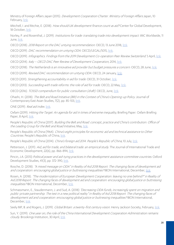Ministry of Foreign Affairs Japan (2015). Development Cooperation Charter. Ministry of Foreign Affairs Japan, 10 February[, link.](https://www.mofa.go.jp/files/000067701.pdf)

Mitchell, I. and Ritchie, E. (2018). How should UK development finance count as aid? Center for Global Development, 18 October, [link.](https://www.cgdev.org/blog/how-should-uk-development-finance-count-aid)

Norley, P. and Rosenthal, J. (2019). Institutions for trade: translating trade into development impact. IMC Worldwide, 11 June[, link.](https://assets.publishing.service.gov.uk/media/5d30a2db40f0b64a8626b7c2/524_Supporting_Trade_for_Institutions.pdf)

OECD (2018). 2018 Report on the DAC untying recommendation. OECD, 13June 2018, [link.](https://www.oecd.org/dac/financing-sustainable-development/development-finance-standards/DCD-DAC(2018)12-REV2.en.pdf)

OECD (2019). DAC recommendation on untying ODA. OECD/LEGAL/5015, [link.](https://legalinstruments.oecd.org/public/doc/140/140.en.pdf)

OECD (2019). Infographics. Findings from the 2019 Development Co-operation Peer Review Switzerland. 5 April, [link.](https://www.oecd.org/dac/peer-reviews/Switzerland-2019-Infographic.pdf)

OECD (2014). Italy - OECD DAC Peer Review of Development Cooperation, 2014, link.

OECD (2018). The Netherlands is an innovative aid provider but budget pressures a concern. OECD, 28 June[, link.](https://www.oecd.org/newsroom/the-netherlands-is-an-innovative-aid-provider-but-budget-pressures-a-concern.htm)

OECD (2019). Revised DAC recommendation on untying ODA. OECD, 24 January, link.

OECD (2011). Strengthening accountability in aid for trade. OECD, 31 October[, link.](https://www.oecd.org/dac/aft/strengthening-accountability-in-aid-for-trade-9789264123212-en.htm)

OECD (2013). Succeeding with trade reforms: the role of aid for trade. OECD, 22 May, [link.](https://www.oecd.org/dac/aft/succeeding-with-trade-reforms-9789264201200-en.htm)

OECD (2016). TOSSD compendium for public consultation (draft). OECD, June[, link.](https://www.oecd.org/dac/financing-sustainable-development/TOSSD%20Compendium2016.pdf) 

Ohashi, H. (2018). The Belt and Road Initiative (BRI) in the Context of China's Opening-up Policy. Journal of Contemporary East Asian Studies, 7(2), pp. 85-103, [link.](https://www.tandfonline.com/doi/pdf/10.1080/24761028.2018.1564615?needAccess=true)

ONE (2019). Real aid index[. link.](https://www.one.org/international/real-aid-index/)

Oxfam (2019). Hitting the Target: An agenda for aid in times of extreme inequality, Briefing Paper. Oxfam Briefing Paper, 8 April, [link.](https://reliefweb.int/sites/reliefweb.int/files/resources/bp-hitting-the-target-aid-inequality-agenda-080419-en.pdf)

People's Republic of China (2017). Building the Belt and Road: concept, practice and China's contribution. Office of the Leading Group for the Belt and Road Initiative, May[, link.](https://eng.yidaiyilu.gov.cn/wcm.files/upload/CMSydylyw/201705/201705110537027.pdf)

People's Republic of China (1964). China's eight principles for economic aid and technical assistance to Other Countries. People's Republic of China[, link.](http://www.china.org.cn/government/whitepaper/2011-04/21/content_22411843.htm)

People's Republic of China (2014). China's foreign aid 2014. People's Republic of China, 10 July[, link.](http://english.gov.cn/archive/white_paper/2014/08/23/content_281474982986592.htm)

Pettersson, J. (2011). Aid, aid for trade, and bilateral trade: an empirical study. The Journal of International Trade and Economic Development, 22(6), pp. 866-894, [link.](https://www.tandfonline.com/doi/citedby/10.1080/09638199.2011.613998?scroll=top&needAccess=true)

Pincin, J.A. (2013) Political power and aid-tying practices in the development assistance committee countries. Oxford Development Studies, 41(3), pp. 372-390[, link.](https://www.tandfonline.com/doi/abs/10.1080/13600818.2013.812724?tokenDomain=eprints&tokenAccess=55W8i7sjKhI3znaZnd46&forwardService=showFullText&doi=10.1080%2F13600818.2013.812724&doi=10.1080%2F13600818.2013.812724&journalCode=cods20) 

Rosche, D. (2018). "A mixed message on ODA" in Reality of Aid 2018 Report. The changing faces of development aid and cooperation: encouraging global justice or buttressing inequalities? IBON International, December, [link.](http://www.realityofaid.org/wp-content/uploads/2018/12/RoA-Full-Report2018FINAL3-min.pdf)

Rosen, A. (2018). "The modernization of European Development Cooperation: leaving no one behind?" in Reality of Aid 2018 Report. The changing faces of development aid and cooperation: encouraging global justice or buttressing inequalities? IBON International, December[, link.](http://www.realityofaid.org/wp-content/uploads/2018/12/RoA-Full-Report2018FINAL3-min.pdf)

Schmassmann, E., Staudenmann, J. and Sud, A. (2018) "Decreasing ODA funds, increasingly spent on migration and public-private partnership. The test in a new political reality" in Reality of Aid 2018 Report. The changing faces of development aid and cooperation: encouraging global justice or buttressing inequalities? IBON International, December, [link.](http://www.realityofaid.org/wp-content/uploads/2018/12/RoA-Full-Report2018FINAL3-min.pdf)

Seely MP, B. and Rogers, J. (2019). Global Britain: a twenty-first century vision. Henry Jackson Society, February, [link.](https://henryjacksonsociety.org/wp-content/uploads/2019/02/HJS-Global-Britain-%C2%AD-A-Twenty-first-Century-Vision-Report-A4-web.pdf)

Sun, Y. (2019). One year on, the role of the China International Development Cooperation Administration remains cloudy. Brookings Institution, 30 April[, link.](https://www.brookings.edu/blog/africa-in-focus/2019/04/30/one-year-on-the-role-of-the-china-international-development-cooperation-administration-remains-cloudy/)